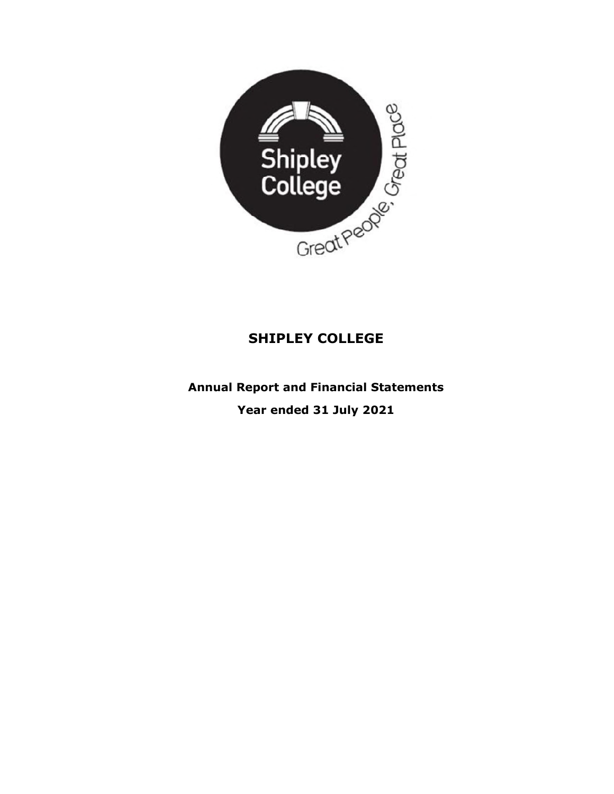

Annual Report and Financial Statements Year ended 31 July 2021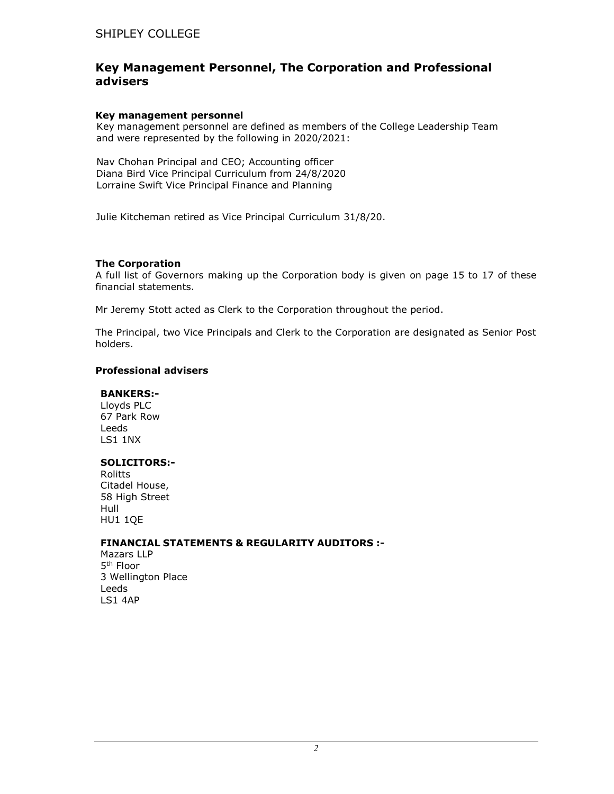# Key Management Personnel, The Corporation and Professional advisers

#### Key management personnel

Key management personnel are defined as members of the College Leadership Team and were represented by the following in 2020/2021:

Nav Chohan Principal and CEO; Accounting officer Diana Bird Vice Principal Curriculum from 24/8/2020 Lorraine Swift Vice Principal Finance and Planning

Julie Kitcheman retired as Vice Principal Curriculum 31/8/20.

## The Corporation

A full list of Governors making up the Corporation body is given on page 15 to 17 of these financial statements.

Mr Jeremy Stott acted as Clerk to the Corporation throughout the period.

The Principal, two Vice Principals and Clerk to the Corporation are designated as Senior Post holders.

## Professional advisers

#### BANKERS:-

Lloyds PLC 67 Park Row Leeds LS1 1NX

## SOLICITORS:-

Rolitts Citadel House, 58 High Street Hull HU1 1QE

## FINANCIAL STATEMENTS & REGULARITY AUDITORS :-

Mazars LLP 5<sup>th</sup> Floor 3 Wellington Place Leeds LS1 4AP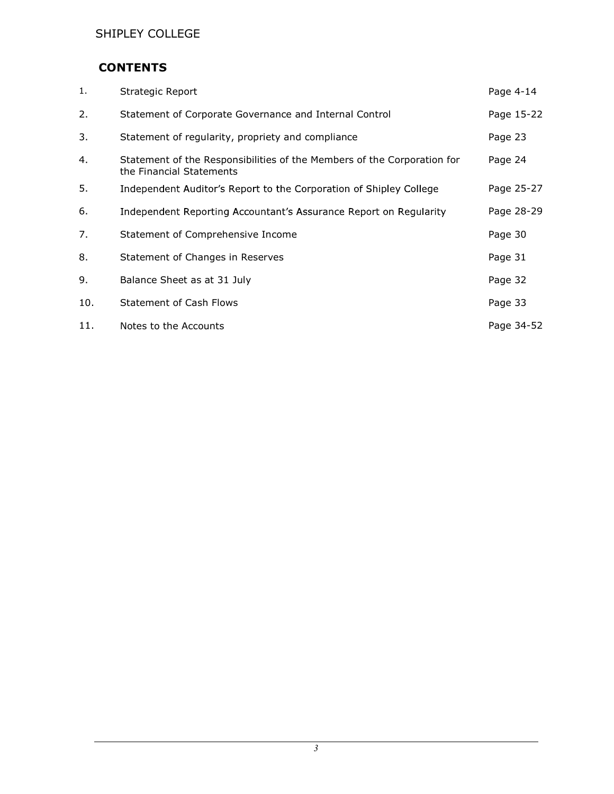# **CONTENTS**

| 1.  | Strategic Report                                                                                    | Page 4-14  |
|-----|-----------------------------------------------------------------------------------------------------|------------|
| 2.  | Statement of Corporate Governance and Internal Control                                              | Page 15-22 |
| 3.  | Statement of regularity, propriety and compliance                                                   | Page 23    |
| 4.  | Statement of the Responsibilities of the Members of the Corporation for<br>the Financial Statements | Page 24    |
| 5.  | Independent Auditor's Report to the Corporation of Shipley College                                  | Page 25-27 |
| 6.  | Independent Reporting Accountant's Assurance Report on Regularity                                   | Page 28-29 |
| 7.  | Statement of Comprehensive Income                                                                   | Page 30    |
| 8.  | Statement of Changes in Reserves                                                                    | Page 31    |
| 9.  | Balance Sheet as at 31 July                                                                         | Page 32    |
| 10. | <b>Statement of Cash Flows</b>                                                                      | Page 33    |
| 11. | Notes to the Accounts                                                                               | Page 34-52 |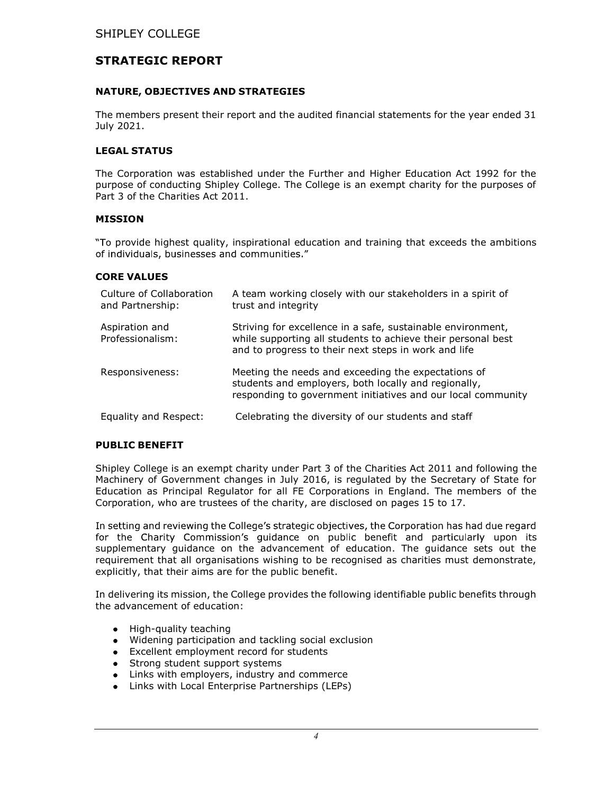# STRATEGIC REPORT

## NATURE, OBJECTIVES AND STRATEGIES

The members present their report and the audited financial statements for the year ended 31 July 2021.

## LEGAL STATUS

The Corporation was established under the Further and Higher Education Act 1992 for the purpose of conducting Shipley College. The College is an exempt charity for the purposes of Part 3 of the Charities Act 2011.

## MISSION

"To provide highest quality, inspirational education and training that exceeds the ambitions of individuals, businesses and communities."

#### CORE VALUES

| Culture of Collaboration<br>and Partnership: | A team working closely with our stakeholders in a spirit of<br>trust and integrity                                                                                                  |
|----------------------------------------------|-------------------------------------------------------------------------------------------------------------------------------------------------------------------------------------|
| Aspiration and<br>Professionalism:           | Striving for excellence in a safe, sustainable environment,<br>while supporting all students to achieve their personal best<br>and to progress to their next steps in work and life |
| Responsiveness:                              | Meeting the needs and exceeding the expectations of<br>students and employers, both locally and regionally,<br>responding to government initiatives and our local community         |
| Equality and Respect:                        | Celebrating the diversity of our students and staff                                                                                                                                 |

## PUBLIC BENEFIT

Shipley College is an exempt charity under Part 3 of the Charities Act 2011 and following the Machinery of Government changes in July 2016, is regulated by the Secretary of State for Education as Principal Regulator for all FE Corporations in England. The members of the Corporation, who are trustees of the charity, are disclosed on pages 15 to 17.

In setting and reviewing the College's strategic objectives, the Corporation has had due regard for the Charity Commission's guidance on public benefit and particularly upon its supplementary guidance on the advancement of education. The guidance sets out the requirement that all organisations wishing to be recognised as charities must demonstrate, explicitly, that their aims are for the public benefit.

In delivering its mission, the College provides the following identifiable public benefits through the advancement of education:

- High-quality teaching
- Widening participation and tackling social exclusion
- Excellent employment record for students  $\bullet$
- Strong student support systems  $\bullet$
- $\bullet$ Links with employers, industry and commerce
- Links with Local Enterprise Partnerships (LEPs)  $\bullet$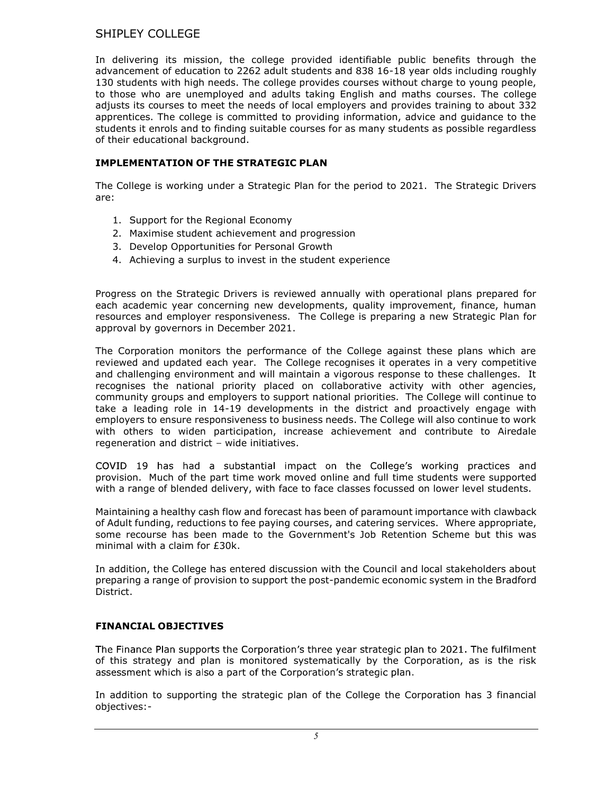In delivering its mission, the college provided identifiable public benefits through the advancement of education to 2262 adult students and 838 16-18 year olds including roughly 130 students with high needs. The college provides courses without charge to young people, to those who are unemployed and adults taking English and maths courses. The college adjusts its courses to meet the needs of local employers and provides training to about 332 apprentices. The college is committed to providing information, advice and guidance to the students it enrols and to finding suitable courses for as many students as possible regardless of their educational background.

# IMPLEMENTATION OF THE STRATEGIC PLAN

The College is working under a Strategic Plan for the period to 2021. The Strategic Drivers are:

- 1. Support for the Regional Economy
- 2. Maximise student achievement and progression
- 3. Develop Opportunities for Personal Growth
- 4. Achieving a surplus to invest in the student experience

Progress on the Strategic Drivers is reviewed annually with operational plans prepared for each academic year concerning new developments, quality improvement, finance, human resources and employer responsiveness. The College is preparing a new Strategic Plan for approval by governors in December 2021.

The Corporation monitors the performance of the College against these plans which are reviewed and updated each year. The College recognises it operates in a very competitive and challenging environment and will maintain a vigorous response to these challenges. It recognises the national priority placed on collaborative activity with other agencies, community groups and employers to support national priorities. The College will continue to take a leading role in 14-19 developments in the district and proactively engage with employers to ensure responsiveness to business needs. The College will also continue to work with others to widen participation, increase achievement and contribute to Airedale regeneration and district - wide initiatives.

COVID 19 has had a substantial impact on the College's working practices and provision. Much of the part time work moved online and full time students were supported with a range of blended delivery, with face to face classes focussed on lower level students.

Maintaining a healthy cash flow and forecast has been of paramount importance with clawback of Adult funding, reductions to fee paying courses, and catering services. Where appropriate, some recourse has been made to the Government's Job Retention Scheme but this was minimal with a claim for £30k.

In addition, the College has entered discussion with the Council and local stakeholders about preparing a range of provision to support the post-pandemic economic system in the Bradford District.

# FINANCIAL OBJECTIVES

The Finance Plan supports the Corporation's three year strategic plan to 2021. The fulfilment of this strategy and plan is monitored systematically by the Corporation, as is the risk assessment which is also a part of the Corporation's strategic plan.

In addition to supporting the strategic plan of the College the Corporation has 3 financial objectives:-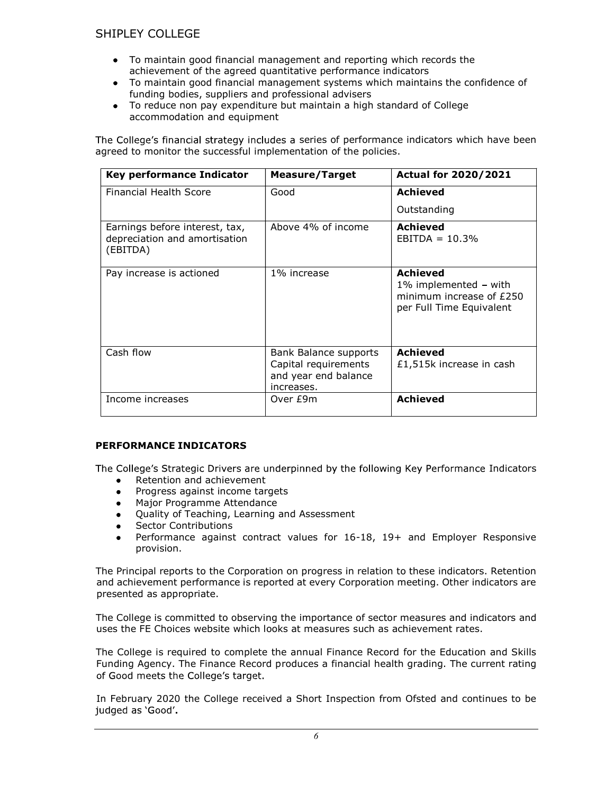- To maintain good financial management and reporting which records the achievement of the agreed quantitative performance indicators
- To maintain good financial management systems which maintains the confidence of  $\bullet$ funding bodies, suppliers and professional advisers
- To reduce non pay expenditure but maintain a high standard of College accommodation and equipment

The College's financial strategy includes a series of performance indicators which have been agreed to monitor the successful implementation of the policies.

| Key performance Indicator                                                   | <b>Measure/Target</b>                                                               | <b>Actual for 2020/2021</b>                                                                      |
|-----------------------------------------------------------------------------|-------------------------------------------------------------------------------------|--------------------------------------------------------------------------------------------------|
| Financial Health Score                                                      | Good                                                                                | <b>Achieved</b>                                                                                  |
|                                                                             |                                                                                     | Outstanding                                                                                      |
| Earnings before interest, tax,<br>depreciation and amortisation<br>(EBITDA) | Above 4% of income                                                                  | Achieved<br>$EBITDA = 10.3%$                                                                     |
| Pay increase is actioned                                                    | 1% increase                                                                         | <b>Achieved</b><br>1% implemented - with<br>minimum increase of £250<br>per Full Time Equivalent |
| Cash flow                                                                   | Bank Balance supports<br>Capital requirements<br>and year end balance<br>increases. | Achieved<br>£1,515k increase in cash                                                             |
| Income increases                                                            | Over £9m                                                                            | <b>Achieved</b>                                                                                  |

## PERFORMANCE INDICATORS

The College's Strategic Drivers are underpinned by the following Key Performance Indicators

- Retention and achievement  $\bullet$
- Progress against income targets  $\bullet$
- Major Programme Attendance  $\bullet$
- Quality of Teaching, Learning and Assessment  $\bullet$
- Sector Contributions
- Performance against contract values for 16-18, 19+ and Employer Responsive provision.

The Principal reports to the Corporation on progress in relation to these indicators. Retention and achievement performance is reported at every Corporation meeting. Other indicators are presented as appropriate.

The College is committed to observing the importance of sector measures and indicators and uses the FE Choices website which looks at measures such as achievement rates.

The College is required to complete the annual Finance Record for the Education and Skills Funding Agency. The Finance Record produces a financial health grading. The current rating of Good meets the College's target.

In February 2020 the College received a Short Inspection from Ofsted and continues to be judged as 'Good'.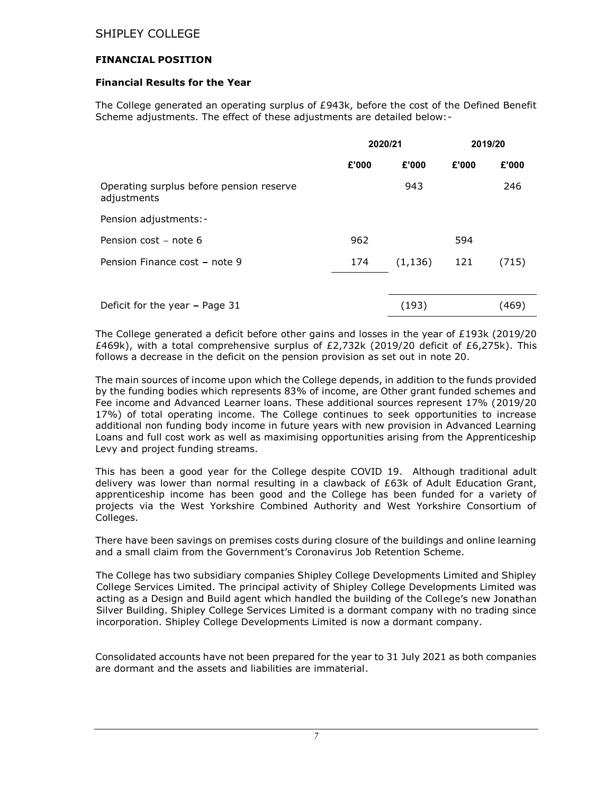## FINANCIAL POSITION

## Financial Results for the Year

The College generated an operating surplus of £943k, before the cost of the Defined Benefit Scheme adjustments. The effect of these adjustments are detailed below:-

|                                                         | 2020/21 |          | 2019/20 |       |
|---------------------------------------------------------|---------|----------|---------|-------|
|                                                         | £'000   | £'000    | £'000   | £'000 |
| Operating surplus before pension reserve<br>adjustments |         | 943      |         | 246   |
| Pension adjustments:-                                   |         |          |         |       |
| Pension cost - note 6                                   | 962     |          | 594     |       |
| Pension Finance cost - note 9                           | 174     | (1, 136) | 121     | (715) |
|                                                         |         |          |         |       |
| Deficit for the year - Page 31                          |         | (193)    |         | (469) |

The College generated a deficit before other gains and losses in the year of £193k (2019/20 £469k), with a total comprehensive surplus of £2,732k (2019/20 deficit of £6,275k). This follows a decrease in the deficit on the pension provision as set out in note 20.

The main sources of income upon which the College depends, in addition to the funds provided by the funding bodies which represents 83% of income, are Other grant funded schemes and Fee income and Advanced Learner loans. These additional sources represent 17% (2019/20 17%) of total operating income. The College continues to seek opportunities to increase additional non funding body income in future years with new provision in Advanced Learning Loans and full cost work as well as maximising opportunities arising from the Apprenticeship Levy and project funding streams.

This has been a good year for the College despite COVID 19. Although traditional adult delivery was lower than normal resulting in a clawback of £63k of Adult Education Grant, apprenticeship income has been good and the College has been funded for a variety of projects via the West Yorkshire Combined Authority and West Yorkshire Consortium of Colleges.

There have been savings on premises costs during closure of the buildings and online learning and a small claim from the Government's Coronavirus Job Retention Scheme.

The College has two subsidiary companies Shipley College Developments Limited and Shipley College Services Limited. The principal activity of Shipley College Developments Limited was acting as a Design and Build agent which handled the building of the College's new Jonathan Silver Building. Shipley College Services Limited is a dormant company with no trading since incorporation. Shipley College Developments Limited is now a dormant company.

Consolidated accounts have not been prepared for the year to 31 July 2021 as both companies are dormant and the assets and liabilities are immaterial.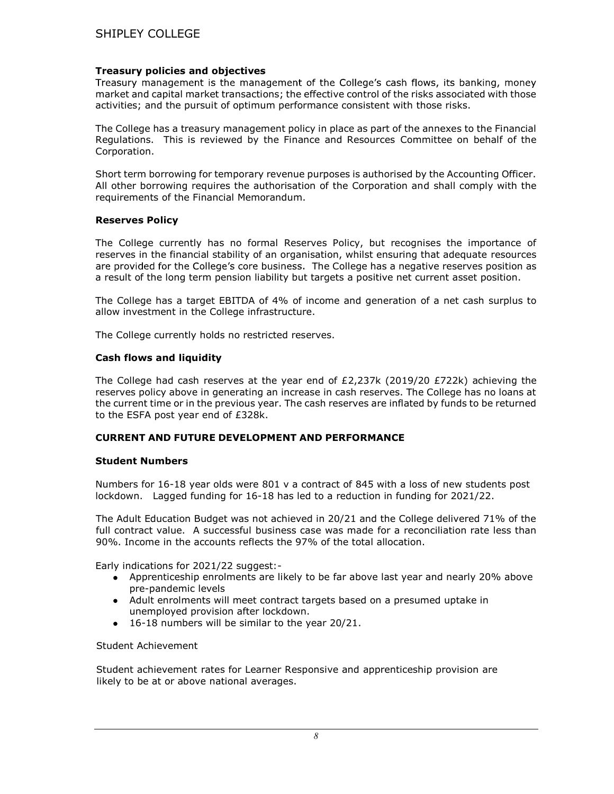## Treasury policies and objectives

Treasury management is the management of the College's cash flows, its banking, money market and capital market transactions; the effective control of the risks associated with those activities; and the pursuit of optimum performance consistent with those risks.

The College has a treasury management policy in place as part of the annexes to the Financial Regulations. This is reviewed by the Finance and Resources Committee on behalf of the Corporation.

Short term borrowing for temporary revenue purposes is authorised by the Accounting Officer. All other borrowing requires the authorisation of the Corporation and shall comply with the requirements of the Financial Memorandum.

#### Reserves Policy

The College currently has no formal Reserves Policy, but recognises the importance of reserves in the financial stability of an organisation, whilst ensuring that adequate resources are provided for the College's core business. The College has a negative reserves position as a result of the long term pension liability but targets a positive net current asset position.

The College has a target EBITDA of 4% of income and generation of a net cash surplus to allow investment in the College infrastructure.

The College currently holds no restricted reserves.

## Cash flows and liquidity

The College had cash reserves at the year end of £2,237k (2019/20 £722k) achieving the reserves policy above in generating an increase in cash reserves. The College has no loans at the current time or in the previous year. The cash reserves are inflated by funds to be returned to the ESFA post year end of £328k.

## CURRENT AND FUTURE DEVELOPMENT AND PERFORMANCE

#### Student Numbers

Numbers for 16-18 year olds were 801 v a contract of 845 with a loss of new students post lockdown. Lagged funding for 16-18 has led to a reduction in funding for 2021/22.

The Adult Education Budget was not achieved in 20/21 and the College delivered 71% of the full contract value. A successful business case was made for a reconciliation rate less than 90%. Income in the accounts reflects the 97% of the total allocation.

Early indications for 2021/22 suggest:-

- $\bullet$ Apprenticeship enrolments are likely to be far above last year and nearly 20% above pre-pandemic levels
- Adult enrolments will meet contract targets based on a presumed uptake in unemployed provision after lockdown.
- 16-18 numbers will be similar to the year 20/21.  $\bullet$

Student Achievement

Student achievement rates for Learner Responsive and apprenticeship provision are likely to be at or above national averages.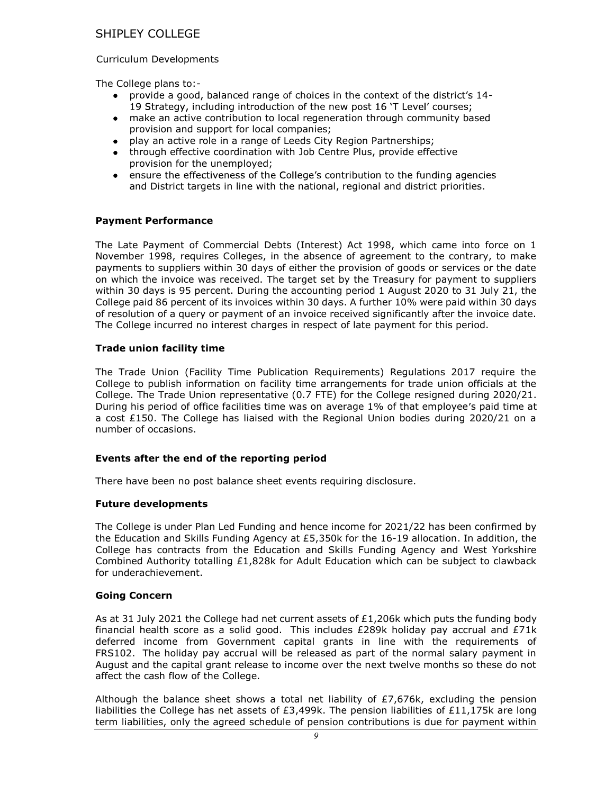#### Curriculum Developments

The College plans to:-

- provide a good, balanced range of choices in the context of the district's 14-19 Strategy, including introduction of the new post 16 'T Level' courses;
- make an active contribution to local regeneration through community based  $\bullet$ provision and support for local companies;
- play an active role in a range of Leeds City Region Partnerships;
- through effective coordination with Job Centre Plus, provide effective provision for the unemployed;
- ensure the effectiveness of the College's contribution to the funding agencies and District targets in line with the national, regional and district priorities.

#### Payment Performance

The Late Payment of Commercial Debts (Interest) Act 1998, which came into force on 1 November 1998, requires Colleges, in the absence of agreement to the contrary, to make payments to suppliers within 30 days of either the provision of goods or services or the date on which the invoice was received. The target set by the Treasury for payment to suppliers within 30 days is 95 percent. During the accounting period 1 August 2020 to 31 July 21, the College paid 86 percent of its invoices within 30 days. A further 10% were paid within 30 days of resolution of a query or payment of an invoice received significantly after the invoice date. The College incurred no interest charges in respect of late payment for this period.

#### Trade union facility time

The Trade Union (Facility Time Publication Requirements) Regulations 2017 require the College to publish information on facility time arrangements for trade union officials at the College. The Trade Union representative (0.7 FTE) for the College resigned during 2020/21. During his period of office facilities time was on average 1% of that employee's paid time at a cost £150. The College has liaised with the Regional Union bodies during 2020/21 on a number of occasions.

## Events after the end of the reporting period

There have been no post balance sheet events requiring disclosure.

#### Future developments

The College is under Plan Led Funding and hence income for 2021/22 has been confirmed by the Education and Skills Funding Agency at £5,350k for the 16-19 allocation. In addition, the College has contracts from the Education and Skills Funding Agency and West Yorkshire Combined Authority totalling  $£1,828k$  for Adult Education which can be subject to clawback for underachievement.

#### Going Concern

As at 31 July 2021 the College had net current assets of  $£1,206k$  which puts the funding body financial health score as a solid good. This includes £289k holiday pay accrual and £71k deferred income from Government capital grants in line with the requirements of FRS102. The holiday pay accrual will be released as part of the normal salary payment in August and the capital grant release to income over the next twelve months so these do not affect the cash flow of the College.

Although the balance sheet shows a total net liability of  $E7,676k$ , excluding the pension liabilities the College has net assets of £3,499k. The pension liabilities of £11,175k are long term liabilities, only the agreed schedule of pension contributions is due for payment within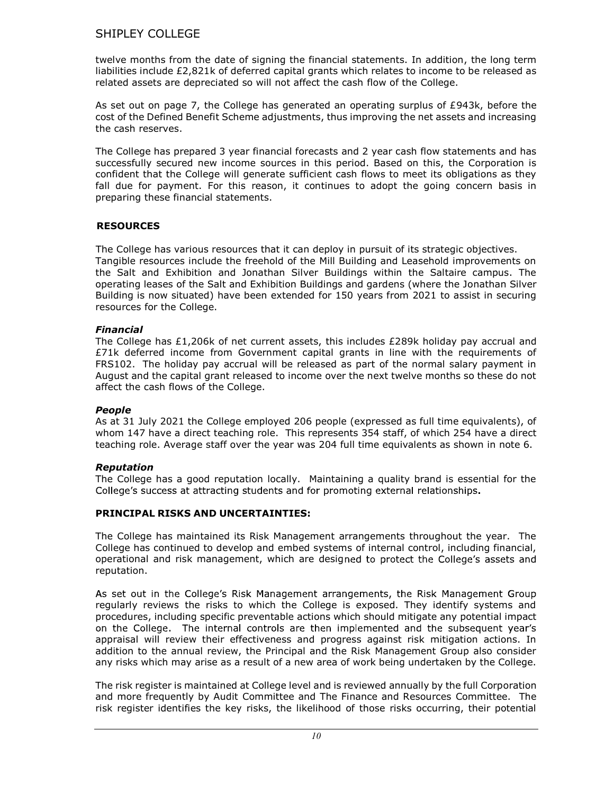twelve months from the date of signing the financial statements. In addition, the long term liabilities include £2,821k of deferred capital grants which relates to income to be released as related assets are depreciated so will not affect the cash flow of the College.

As set out on page 7, the College has generated an operating surplus of £943k, before the cost of the Defined Benefit Scheme adjustments, thus improving the net assets and increasing the cash reserves.

The College has prepared 3 year financial forecasts and 2 year cash flow statements and has successfully secured new income sources in this period. Based on this, the Corporation is confident that the College will generate sufficient cash flows to meet its obligations as they fall due for payment. For this reason, it continues to adopt the going concern basis in preparing these financial statements.

# **RESOURCES**

The College has various resources that it can deploy in pursuit of its strategic objectives. Tangible resources include the freehold of the Mill Building and Leasehold improvements on the Salt and Exhibition and Jonathan Silver Buildings within the Saltaire campus. The operating leases of the Salt and Exhibition Buildings and gardens (where the Jonathan Silver Building is now situated) have been extended for 150 years from 2021 to assist in securing resources for the College.

# Financial

The College has £1,206k of net current assets, this includes £289k holiday pay accrual and £71k deferred income from Government capital grants in line with the requirements of FRS102. The holiday pay accrual will be released as part of the normal salary payment in August and the capital grant released to income over the next twelve months so these do not affect the cash flows of the College.

## People

As at 31 July 2021 the College employed 206 people (expressed as full time equivalents), of whom 147 have a direct teaching role. This represents 354 staff, of which 254 have a direct teaching role. Average staff over the year was 204 full time equivalents as shown in note 6.

# Reputation

The College has a good reputation locally. Maintaining a quality brand is essential for the College's success at attracting students and for promoting external relationships.

# PRINCIPAL RISKS AND UNCERTAINTIES:

The College has maintained its Risk Management arrangements throughout the year. The College has continued to develop and embed systems of internal control, including financial, operational and risk management, which are designed to protect the College's assets and reputation.

As set out in the College's Risk Management arrangements, the Risk Management Group regularly reviews the risks to which the College is exposed. They identify systems and procedures, including specific preventable actions which should mitigate any potential impact on the College. The internal controls are then implemented and the subsequent year's appraisal will review their effectiveness and progress against risk mitigation actions. In addition to the annual review, the Principal and the Risk Management Group also consider any risks which may arise as a result of a new area of work being undertaken by the College.

The risk register is maintained at College level and is reviewed annually by the full Corporation and more frequently by Audit Committee and The Finance and Resources Committee. The risk register identifies the key risks, the likelihood of those risks occurring, their potential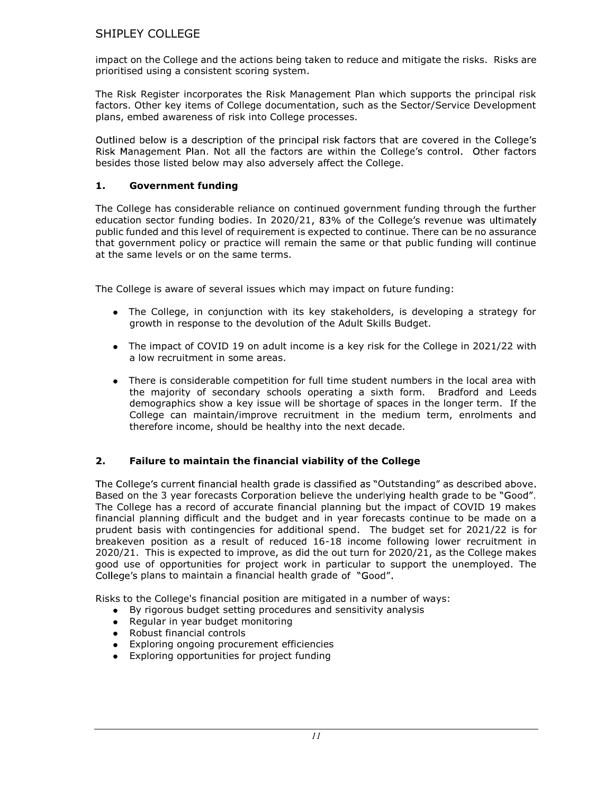impact on the College and the actions being taken to reduce and mitigate the risks. Risks are prioritised using a consistent scoring system.

The Risk Register incorporates the Risk Management Plan which supports the principal risk factors. Other key items of College documentation, such as the Sector/Service Development plans, embed awareness of risk into College processes.

Outlined below is a description of the principal risk factors that are covered in the College's Risk Management Plan. Not all the factors are within the College's control. Other factors besides those listed below may also adversely affect the College.

# 1. Government funding

The College has considerable reliance on continued government funding through the further education sector funding bodies. In 2020/21, 83% of the College's revenue was ultimately public funded and this level of requirement is expected to continue. There can be no assurance that government policy or practice will remain the same or that public funding will continue at the same levels or on the same terms.

The College is aware of several issues which may impact on future funding:

- The College, in conjunction with its key stakeholders, is developing a strategy for growth in response to the devolution of the Adult Skills Budget.
- The impact of COVID 19 on adult income is a key risk for the College in 2021/22 with a low recruitment in some areas.
- There is considerable competition for full time student numbers in the local area with the majority of secondary schools operating a sixth form. Bradford and Leeds demographics show a key issue will be shortage of spaces in the longer term. If the College can maintain/improve recruitment in the medium term, enrolments and therefore income, should be healthy into the next decade.

# 2. Failure to maintain the financial viability of the College

The College's current financial health grade is classified as "Outstanding" as described above. Based on the 3 year forecasts Corporation believe the underlying health grade to be "Good". The College has a record of accurate financial planning but the impact of COVID 19 makes financial planning difficult and the budget and in year forecasts continue to be made on a prudent basis with contingencies for additional spend. The budget set for 2021/22 is for breakeven position as a result of reduced 16-18 income following lower recruitment in 2020/21. This is expected to improve, as did the out turn for 2020/21, as the College makes good use of opportunities for project work in particular to support the unemployed. The College's plans to maintain a financial health grade of "Good".

Risks to the College's financial position are mitigated in a number of ways:

- By rigorous budget setting procedures and sensitivity analysis  $\bullet$
- Regular in year budget monitoring
- Robust financial controls
- Exploring ongoing procurement efficiencies  $\bullet$
- Exploring opportunities for project funding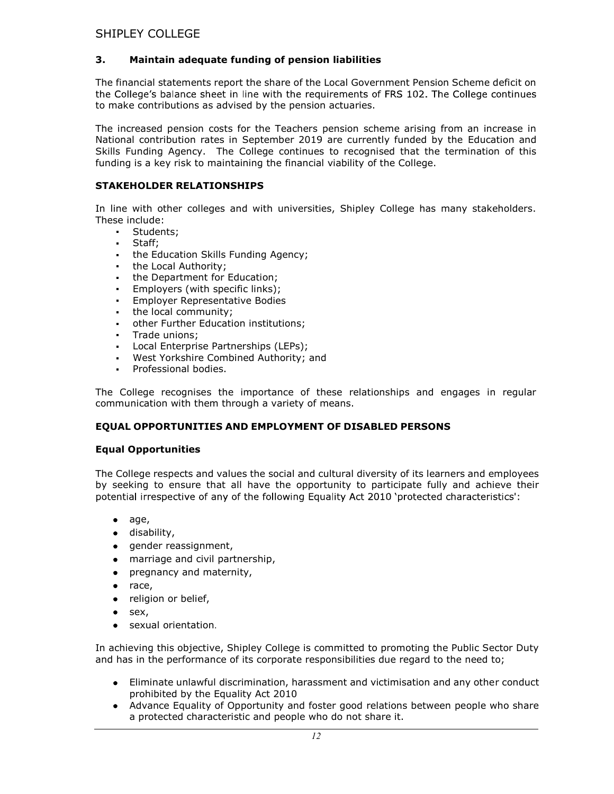# 3. Maintain adequate funding of pension liabilities

The financial statements report the share of the Local Government Pension Scheme deficit on the College's balance sheet in line with the requirements of FRS 102. The College continues to make contributions as advised by the pension actuaries.

The increased pension costs for the Teachers pension scheme arising from an increase in National contribution rates in September 2019 are currently funded by the Education and Skills Funding Agency. The College continues to recognised that the termination of this funding is a key risk to maintaining the financial viability of the College.

## STAKEHOLDER RELATIONSHIPS

In line with other colleges and with universities, Shipley College has many stakeholders. These include:

- Students;
- Staff;
- the Education Skills Funding Agency;
- the Local Authority;
- the Department for Education;
- Employers (with specific links);
- Employer Representative Bodies
- the local community;
- other Further Education institutions;
- $\mathbf{r}$  . Trade unions;
- Local Enterprise Partnerships (LEPs);
- West Yorkshire Combined Authority; and
- **Professional bodies.**

The College recognises the importance of these relationships and engages in regular communication with them through a variety of means.

# EQUAL OPPORTUNITIES AND EMPLOYMENT OF DISABLED PERSONS

## Equal Opportunities

The College respects and values the social and cultural diversity of its learners and employees by seeking to ensure that all have the opportunity to participate fully and achieve their potential irrespective of any of the following Equality Act 2010 'protected characteristics':

- $\bullet$  age,
- disability,  $\bullet$
- gender reassignment,  $\bullet$
- marriage and civil partnership,  $\bullet$
- pregnancy and maternity,  $\bullet$
- $\bullet$ race,
- religion or belief,  $\bullet$
- sex,  $\bullet$
- sexual orientation.  $\bullet$

In achieving this objective, Shipley College is committed to promoting the Public Sector Duty and has in the performance of its corporate responsibilities due regard to the need to;

- Eliminate unlawful discrimination, harassment and victimisation and any other conduct prohibited by the Equality Act 2010
- Advance Equality of Opportunity and foster good relations between people who share a protected characteristic and people who do not share it.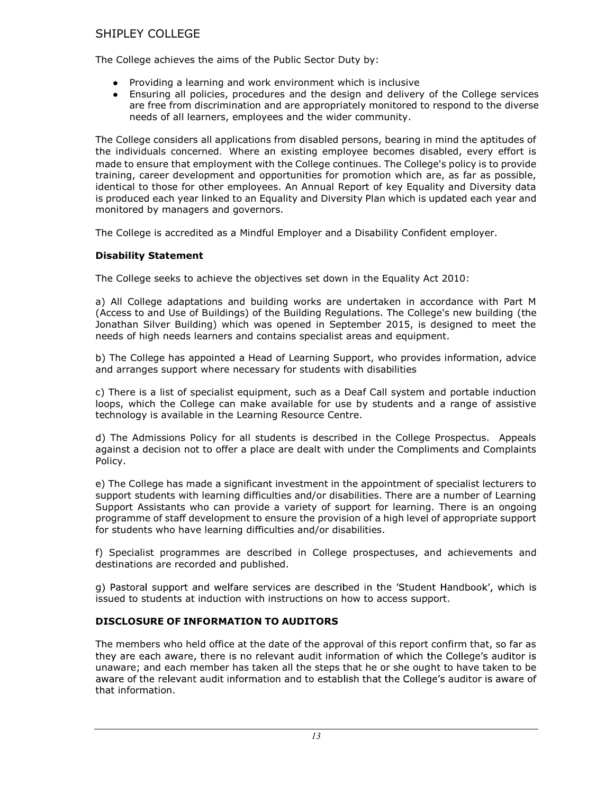The College achieves the aims of the Public Sector Duty by:

- Providing a learning and work environment which is inclusive
- Ensuring all policies, procedures and the design and delivery of the College services are free from discrimination and are appropriately monitored to respond to the diverse needs of all learners, employees and the wider community.

The College considers all applications from disabled persons, bearing in mind the aptitudes of the individuals concerned. Where an existing employee becomes disabled, every effort is made to ensure that employment with the College continues. The College's policy is to provide training, career development and opportunities for promotion which are, as far as possible, identical to those for other employees. An Annual Report of key Equality and Diversity data is produced each year linked to an Equality and Diversity Plan which is updated each year and monitored by managers and governors.

The College is accredited as a Mindful Employer and a Disability Confident employer.

## Disability Statement

The College seeks to achieve the objectives set down in the Equality Act 2010:

a) All College adaptations and building works are undertaken in accordance with Part M (Access to and Use of Buildings) of the Building Regulations. The College's new building (the Jonathan Silver Building) which was opened in September 2015, is designed to meet the needs of high needs learners and contains specialist areas and equipment.

b) The College has appointed a Head of Learning Support, who provides information, advice and arranges support where necessary for students with disabilities

c) There is a list of specialist equipment, such as a Deaf Call system and portable induction loops, which the College can make available for use by students and a range of assistive technology is available in the Learning Resource Centre.

d) The Admissions Policy for all students is described in the College Prospectus. Appeals against a decision not to offer a place are dealt with under the Compliments and Complaints Policy.

e) The College has made a significant investment in the appointment of specialist lecturers to support students with learning difficulties and/or disabilities. There are a number of Learning Support Assistants who can provide a variety of support for learning. There is an ongoing programme of staff development to ensure the provision of a high level of appropriate support for students who have learning difficulties and/or disabilities.

f) Specialist programmes are described in College prospectuses, and achievements and destinations are recorded and published.

g) Pastoral support and welfare services are described in the 'Student Handbook', which is issued to students at induction with instructions on how to access support.

## DISCLOSURE OF INFORMATION TO AUDITORS

The members who held office at the date of the approval of this report confirm that, so far as they are each aware, there is no relevant audit information of which the College's auditor is unaware; and each member has taken all the steps that he or she ought to have taken to be aware of the relevant audit information and to establish that the College's auditor is aware of that information.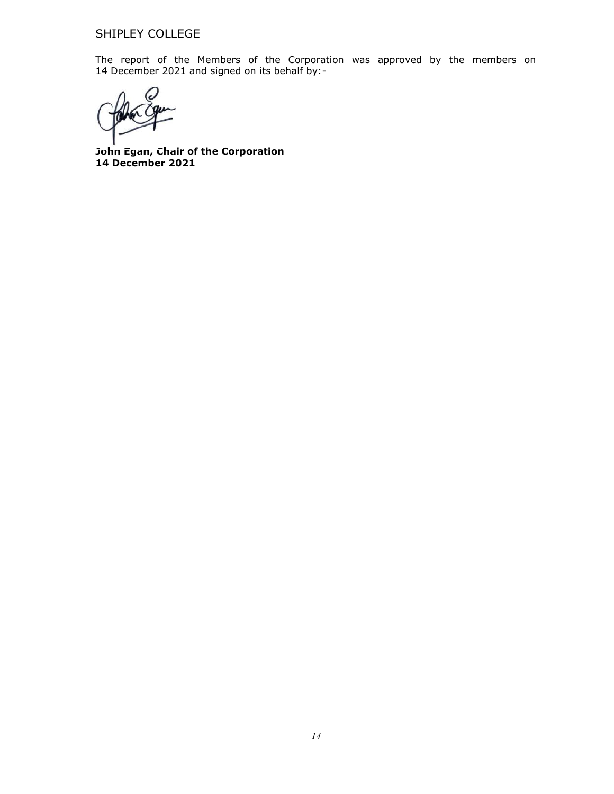The report of the Members of the Corporation was approved by the members on 14 December 2021 and signed on its behalf by:-

John Egan, Chair of the Corporation 14 December 2021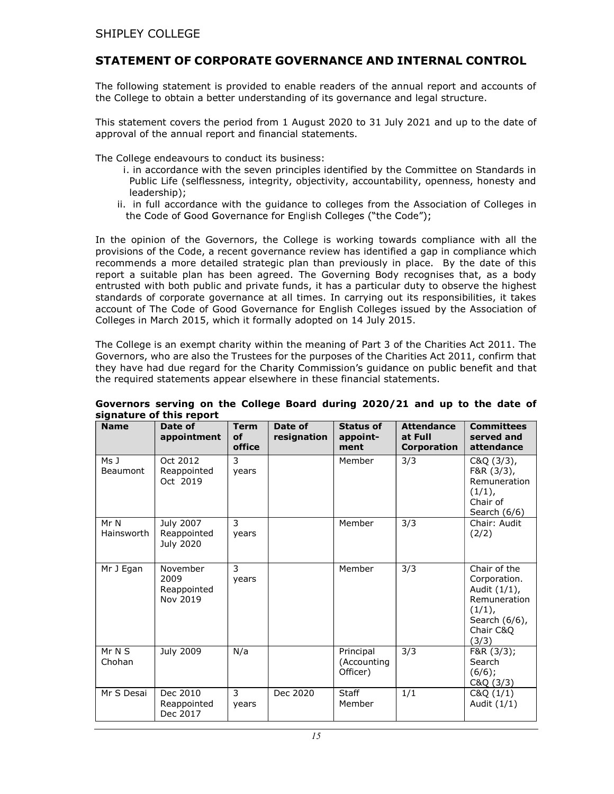# STATEMENT OF CORPORATE GOVERNANCE AND INTERNAL CONTROL

The following statement is provided to enable readers of the annual report and accounts of the College to obtain a better understanding of its governance and legal structure.

This statement covers the period from 1 August 2020 to 31 July 2021 and up to the date of approval of the annual report and financial statements.

The College endeavours to conduct its business:

- i. in accordance with the seven principles identified by the Committee on Standards in Public Life (selflessness, integrity, objectivity, accountability, openness, honesty and leadership);
- ii. in full accordance with the guidance to colleges from the Association of Colleges in the Code of Good Governance for English Colleges ("the Code");

In the opinion of the Governors, the College is working towards compliance with all the provisions of the Code, a recent governance review has identified a gap in compliance which recommends a more detailed strategic plan than previously in place. By the date of this report a suitable plan has been agreed. The Governing Body recognises that, as a body entrusted with both public and private funds, it has a particular duty to observe the highest standards of corporate governance at all times. In carrying out its responsibilities, it takes account of The Code of Good Governance for English Colleges issued by the Association of Colleges in March 2015, which it formally adopted on 14 July 2015.

The College is an exempt charity within the meaning of Part 3 of the Charities Act 2011. The Governors, who are also the Trustees for the purposes of the Charities Act 2011, confirm that they have had due regard for the Charity Commission's guidance on public benefit and that the required statements appear elsewhere in these financial statements.

| <b>Name</b>                    | Date of<br>appointment                       | <b>Term</b><br>of<br>office | Date of<br>resignation | <b>Status of</b><br>appoint-<br>ment | <b>Attendance</b><br>at Full<br>Corporation | <b>Committees</b><br>served and<br>attendance                                                                 |
|--------------------------------|----------------------------------------------|-----------------------------|------------------------|--------------------------------------|---------------------------------------------|---------------------------------------------------------------------------------------------------------------|
| Ms <sub>J</sub><br>Beaumont    | Oct 2012<br>Reappointed<br>Oct 2019          | 3<br>years                  |                        | Member                               | 3/3                                         | C&Q(3/3),<br>F&R (3/3),<br>Remuneration<br>(1/1),<br>Chair of<br>Search $(6/6)$                               |
| Mr N<br>Hainsworth             | July 2007<br>Reappointed<br><b>July 2020</b> | 3<br>years                  |                        | Member                               | 3/3                                         | Chair: Audit<br>(2/2)                                                                                         |
| Mr J Egan                      | November<br>2009<br>Reappointed<br>Nov 2019  | 3<br>years                  |                        | Member                               | 3/3                                         | Chair of the<br>Corporation.<br>Audit (1/1),<br>Remuneration<br>(1/1),<br>Search (6/6),<br>Chair C&Q<br>(3/3) |
| $\overline{M}$ r N S<br>Chohan | July 2009                                    | N/a                         |                        | Principal<br>(Accounting<br>Officer) | 3/3                                         | F&R (3/3);<br>Search<br>(6/6);<br>C&Q(3/3)                                                                    |
| Mr S Desai                     | Dec 2010<br>Reappointed<br>Dec 2017          | 3<br>years                  | Dec 2020               | Staff<br>Member                      | 1/1                                         | C&Q(1/1)<br>Audit $(1/1)$                                                                                     |

#### Governors serving on the College Board during 2020/21 and up to the date of signature of this report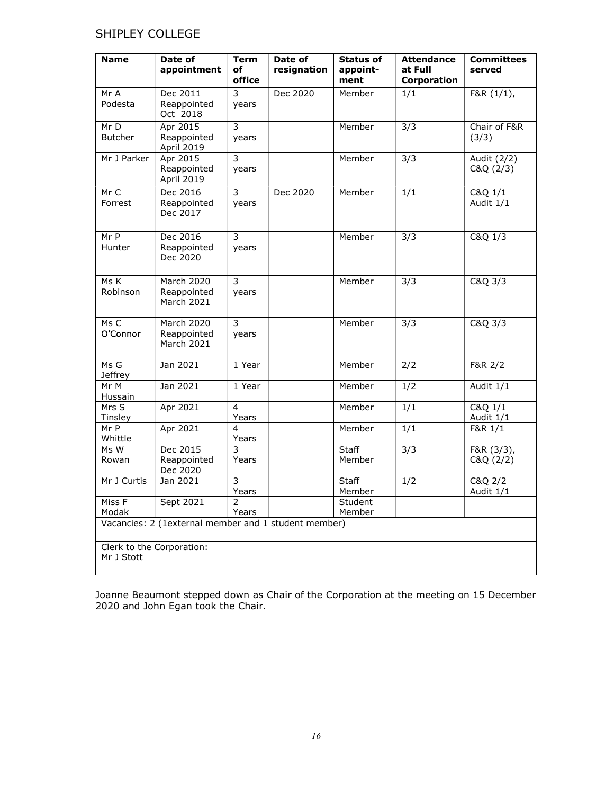| <b>Name</b>                             | Date of                                               | <b>Term</b>             | Date of     | <b>Status of</b>       | <b>Attendance</b>      | <b>Committees</b>       |
|-----------------------------------------|-------------------------------------------------------|-------------------------|-------------|------------------------|------------------------|-------------------------|
|                                         | appointment                                           | оf<br>office            | resignation | appoint-<br>ment       | at Full<br>Corporation | served                  |
| Mr A<br>Podesta                         | Dec 2011<br>Reappointed<br>Oct 2018                   | 3<br>years              | Dec 2020    | Member                 | 1/1                    | F&R (1/1),              |
| Mr D<br><b>Butcher</b>                  | Apr 2015<br>Reappointed<br>April 2019                 | $\overline{3}$<br>years |             | Member                 | $\overline{3/3}$       | Chair of F&R<br>(3/3)   |
| Mr J Parker                             | Apr 2015<br>Reappointed<br>April 2019                 | 3<br>years              |             | Member                 | $\overline{3/3}$       | Audit (2/2)<br>C&Q(2/3) |
| Mr C<br>Forrest                         | Dec 2016<br>Reappointed<br>Dec 2017                   | 3<br>years              | Dec 2020    | Member                 | 1/1                    | C&Q 1/1<br>Audit 1/1    |
| Mr P<br>Hunter                          | Dec 2016<br>Reappointed<br>Dec 2020                   | $\overline{3}$<br>years |             | Member                 | $\overline{3/3}$       | C&Q 1/3                 |
| Ms K<br>Robinson                        | <b>March 2020</b><br>Reappointed<br><b>March 2021</b> | 3<br>years              |             | Member                 | $\overline{3/3}$       | $C&Q$ $3/3$             |
| Ms C<br>O'Connor                        | March 2020<br>Reappointed<br>March 2021               | $\overline{3}$<br>years |             | Member                 | $\overline{3/3}$       | C&Q 3/3                 |
| Ms G<br><b>Jeffrey</b>                  | Jan 2021                                              | 1 Year                  |             | Member                 | $\overline{2/2}$       | F&R 2/2                 |
| Mr M<br>Hussain                         | Jan 2021                                              | 1 Year                  |             | Member                 | 1/2                    | Audit 1/1               |
| Mrs S<br>Tinsley                        | Apr 2021                                              | $\overline{4}$<br>Years |             | Member                 | 1/1                    | C&Q 1/1<br>Audit 1/1    |
| Mr P<br>Whittle                         | Apr 2021                                              | $\overline{4}$<br>Years |             | Member                 | $\overline{1/1}$       | F&R 1/1                 |
| Ms W<br>Rowan                           | Dec 2015<br>Reappointed<br>Dec 2020                   | 3<br>Years              |             | <b>Staff</b><br>Member | $\overline{3/3}$       | F&R(3/3),<br>C&Q(2/2)   |
| Mr J Curtis                             | Jan 2021                                              | 3<br>Years              |             | Staff<br>Member        | 1/2                    | C&Q 2/2<br>Audit 1/1    |
| Miss F<br>Modak                         | Sept 2021                                             | $\mathcal{P}$<br>Years  |             | Student<br>Member      |                        |                         |
|                                         | Vacancies: 2 (1external member and 1 student member)  |                         |             |                        |                        |                         |
| Clerk to the Corporation:<br>Mr J Stott |                                                       |                         |             |                        |                        |                         |

Joanne Beaumont stepped down as Chair of the Corporation at the meeting on 15 December 2020 and John Egan took the Chair.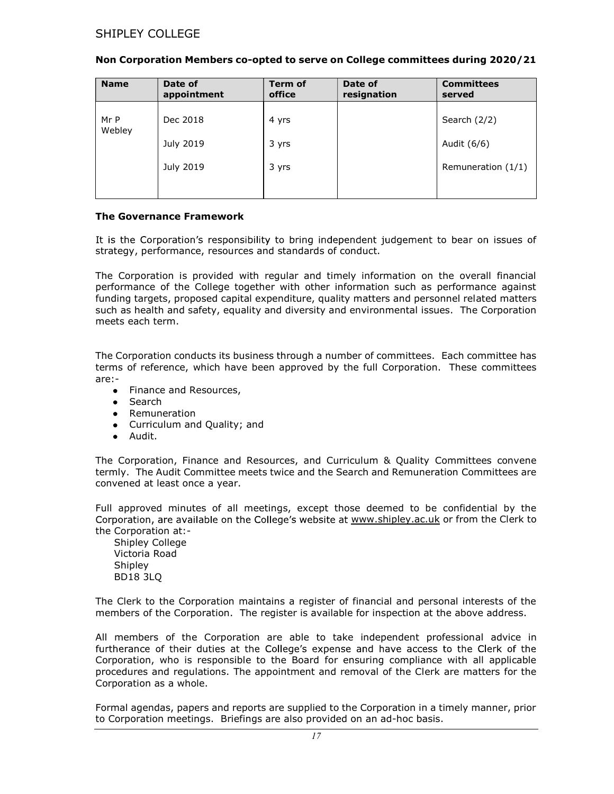| <b>Name</b>    | Date of<br>appointment | Term of<br>office | Date of<br>resignation | <b>Committees</b><br>served |
|----------------|------------------------|-------------------|------------------------|-----------------------------|
| Mr P<br>Webley | Dec 2018               | 4 yrs             |                        | Search (2/2)                |
|                | July 2019              | 3 yrs             |                        | Audit (6/6)                 |
|                | July 2019              | 3 yrs             |                        | Remuneration $(1/1)$        |
|                |                        |                   |                        |                             |

#### Non Corporation Members co-opted to serve on College committees during 2020/21

#### The Governance Framework

It is the Corporation's responsibility to bring independent judgement to bear on issues of strategy, performance, resources and standards of conduct.

The Corporation is provided with regular and timely information on the overall financial performance of the College together with other information such as performance against funding targets, proposed capital expenditure, quality matters and personnel related matters such as health and safety, equality and diversity and environmental issues. The Corporation meets each term.

The Corporation conducts its business through a number of committees. Each committee has terms of reference, which have been approved by the full Corporation. These committees are:-

- Finance and Resources,
- Search
- Remuneration
- Curriculum and Quality; and
- Audit.

The Corporation, Finance and Resources, and Curriculum & Quality Committees convene termly. The Audit Committee meets twice and the Search and Remuneration Committees are convened at least once a year.

Full approved minutes of all meetings, except those deemed to be confidential by the Corporation, are available on the College's website at www.shipley.ac.uk or from the Clerk to the Corporation at:-

Shipley College Victoria Road Shipley BD18 3LQ

The Clerk to the Corporation maintains a register of financial and personal interests of the members of the Corporation. The register is available for inspection at the above address.

All members of the Corporation are able to take independent professional advice in furtherance of their duties at the College's expense and have access to the Clerk of the Corporation, who is responsible to the Board for ensuring compliance with all applicable procedures and regulations. The appointment and removal of the Clerk are matters for the Corporation as a whole.

Formal agendas, papers and reports are supplied to the Corporation in a timely manner, prior to Corporation meetings. Briefings are also provided on an ad-hoc basis.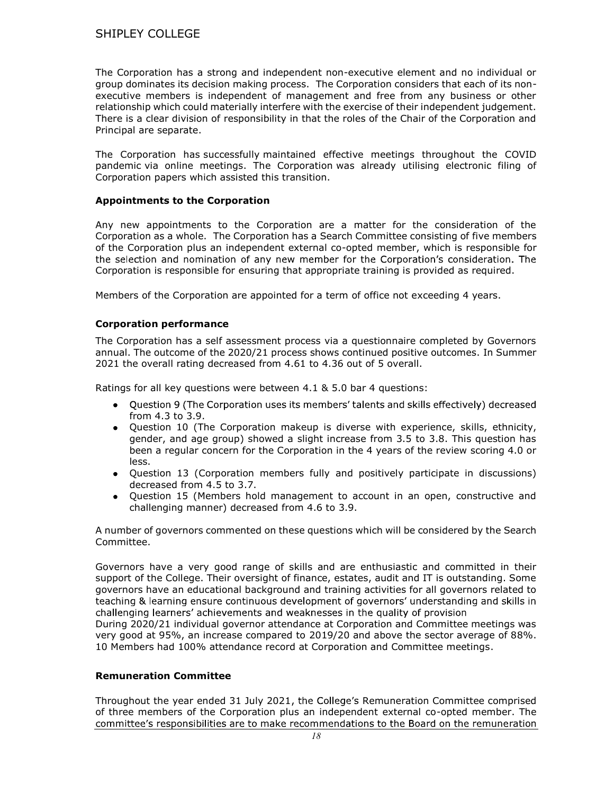The Corporation has a strong and independent non-executive element and no individual or group dominates its decision making process. The Corporation considers that each of its nonexecutive members is independent of management and free from any business or other relationship which could materially interfere with the exercise of their independent judgement. There is a clear division of responsibility in that the roles of the Chair of the Corporation and Principal are separate.

The Corporation has successfully maintained effective meetings throughout the COVID pandemic via online meetings. The Corporation was already utilising electronic filing of Corporation papers which assisted this transition.

#### Appointments to the Corporation

Any new appointments to the Corporation are a matter for the consideration of the Corporation as a whole. The Corporation has a Search Committee consisting of five members of the Corporation plus an independent external co-opted member, which is responsible for the selection and nomination of any new member for the Corporation's consideration. The Corporation is responsible for ensuring that appropriate training is provided as required.

Members of the Corporation are appointed for a term of office not exceeding 4 years.

#### Corporation performance

The Corporation has a self assessment process via a questionnaire completed by Governors annual. The outcome of the 2020/21 process shows continued positive outcomes. In Summer 2021 the overall rating decreased from 4.61 to 4.36 out of 5 overall.

Ratings for all key questions were between 4.1 & 5.0 bar 4 questions:

- Ouestion 9 (The Corporation uses its members' talents and skills effectively) decreased from 4.3 to 3.9.
- Question 10 (The Corporation makeup is diverse with experience, skills, ethnicity, gender, and age group) showed a slight increase from 3.5 to 3.8. This question has been a regular concern for the Corporation in the 4 years of the review scoring 4.0 or less.
- Question 13 (Corporation members fully and positively participate in discussions) decreased from 4.5 to 3.7.
- Question 15 (Members hold management to account in an open, constructive and challenging manner) decreased from 4.6 to 3.9.

A number of governors commented on these questions which will be considered by the Search Committee.

Governors have a very good range of skills and are enthusiastic and committed in their support of the College. Their oversight of finance, estates, audit and IT is outstanding. Some governors have an educational background and training activities for all governors related to teaching & learning ensure continuous development of governors' understanding and skills in challenging learners' achievements and weaknesses in the quality of provision During 2020/21 individual governor attendance at Corporation and Committee meetings was very good at 95%, an increase compared to 2019/20 and above the sector average of 88%.

10 Members had 100% attendance record at Corporation and Committee meetings.

# Remuneration Committee

Throughout the year ended 31 July 2021, the College's Remuneration Committee comprised of three members of the Corporation plus an independent external co-opted member. The committee's responsibilities are to make recommendations to the Board on the remuneration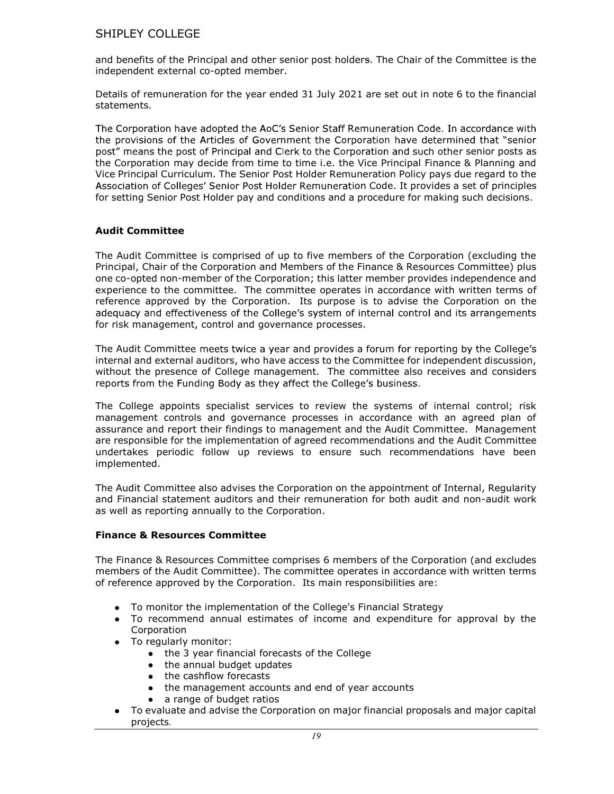and benefits of the Principal and other senior post holders. The Chair of the Committee is the independent external co-opted member.

Details of remuneration for the year ended 31 July 2021 are set out in note 6 to the financial statements.

The Corporation have adopted the AoC's Senior Staff Remuneration Code. In accordance with the provisions of the Articles of Government the Corporation have determined that "senior post" means the post of Principal and Clerk to the Corporation and such other senior posts as the Corporation may decide from time to time i.e. the Vice Principal Finance & Planning and Vice Principal Curriculum. The Senior Post Holder Remuneration Policy pays due regard to the Association of Colleges' Senior Post Holder Remuneration Code. It provides a set of principles for setting Senior Post Holder pay and conditions and a procedure for making such decisions.

## Audit Committee

The Audit Committee is comprised of up to five members of the Corporation (excluding the Principal, Chair of the Corporation and Members of the Finance & Resources Committee) plus one co-opted non-member of the Corporation; this latter member provides independence and experience to the committee. The committee operates in accordance with written terms of reference approved by the Corporation. Its purpose is to advise the Corporation on the adequacy and effectiveness of the College's system of internal control and its arrangements for risk management, control and governance processes.

The Audit Committee meets twice a year and provides a forum for reporting by the College's internal and external auditors, who have access to the Committee for independent discussion, without the presence of College management. The committee also receives and considers reports from the Funding Body as they affect the College's business.

The College appoints specialist services to review the systems of internal control; risk management controls and governance processes in accordance with an agreed plan of assurance and report their findings to management and the Audit Committee. Management are responsible for the implementation of agreed recommendations and the Audit Committee undertakes periodic follow up reviews to ensure such recommendations have been implemented.

The Audit Committee also advises the Corporation on the appointment of Internal, Regularity and Financial statement auditors and their remuneration for both audit and non-audit work as well as reporting annually to the Corporation.

## Finance & Resources Committee

The Finance & Resources Committee comprises 6 members of the Corporation (and excludes members of the Audit Committee). The committee operates in accordance with written terms of reference approved by the Corporation. Its main responsibilities are:

- To monitor the implementation of the College's Financial Strategy
- To recommend annual estimates of income and expenditure for approval by the Corporation
	- To regularly monitor:
		- the 3 year financial forecasts of the College
		- the annual budget updates
		- the cashflow forecasts  $\bullet$
		- the management accounts and end of year accounts
		- a range of budget ratios
- To evaluate and advise the Corporation on major financial proposals and major capital projects.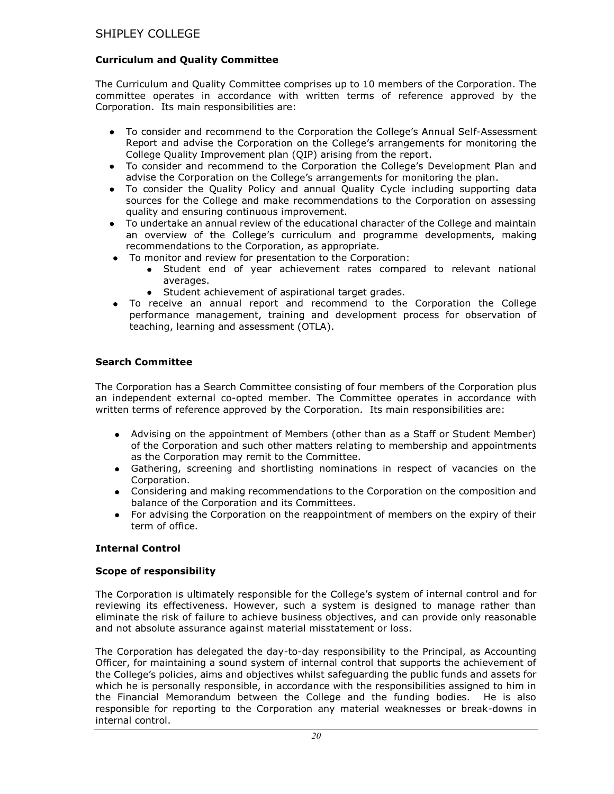## Curriculum and Quality Committee

The Curriculum and Quality Committee comprises up to 10 members of the Corporation. The committee operates in accordance with written terms of reference approved by the Corporation. Its main responsibilities are:

- To consider and recommend to the Corporation the College's Annual Self-Assessment Report and advise the Corporation on the College's arrangements for monitoring the College Quality Improvement plan (QIP) arising from the report.
- To consider and recommend to the Corporation the College's Development Plan and advise the Corporation on the College's arrangements for monitoring the plan.
- To consider the Quality Policy and annual Quality Cycle including supporting data sources for the College and make recommendations to the Corporation on assessing quality and ensuring continuous improvement.
- To undertake an annual review of the educational character of the College and maintain an overview of the College's curriculum and programme developments, making recommendations to the Corporation, as appropriate.
- To monitor and review for presentation to the Corporation:
	- Student end of year achievement rates compared to relevant national averages.
	- Student achievement of aspirational target grades.
- To receive an annual report and recommend to the Corporation the College performance management, training and development process for observation of teaching, learning and assessment (OTLA).

## Search Committee

The Corporation has a Search Committee consisting of four members of the Corporation plus an independent external co-opted member. The Committee operates in accordance with written terms of reference approved by the Corporation. Its main responsibilities are:

- Advising on the appointment of Members (other than as a Staff or Student Member) of the Corporation and such other matters relating to membership and appointments as the Corporation may remit to the Committee.
- Gathering, screening and shortlisting nominations in respect of vacancies on the Corporation.
- Considering and making recommendations to the Corporation on the composition and balance of the Corporation and its Committees.
- For advising the Corporation on the reappointment of members on the expiry of their term of office.

## Internal Control

## Scope of responsibility

The Corporation is ultimately responsible for the College's system of internal control and for reviewing its effectiveness. However, such a system is designed to manage rather than eliminate the risk of failure to achieve business objectives, and can provide only reasonable and not absolute assurance against material misstatement or loss.

The Corporation has delegated the day-to-day responsibility to the Principal, as Accounting Officer, for maintaining a sound system of internal control that supports the achievement of the College's policies, aims and objectives whilst safeguarding the public funds and assets for which he is personally responsible, in accordance with the responsibilities assigned to him in the Financial Memorandum between the College and the funding bodies. He is also responsible for reporting to the Corporation any material weaknesses or break-downs in internal control.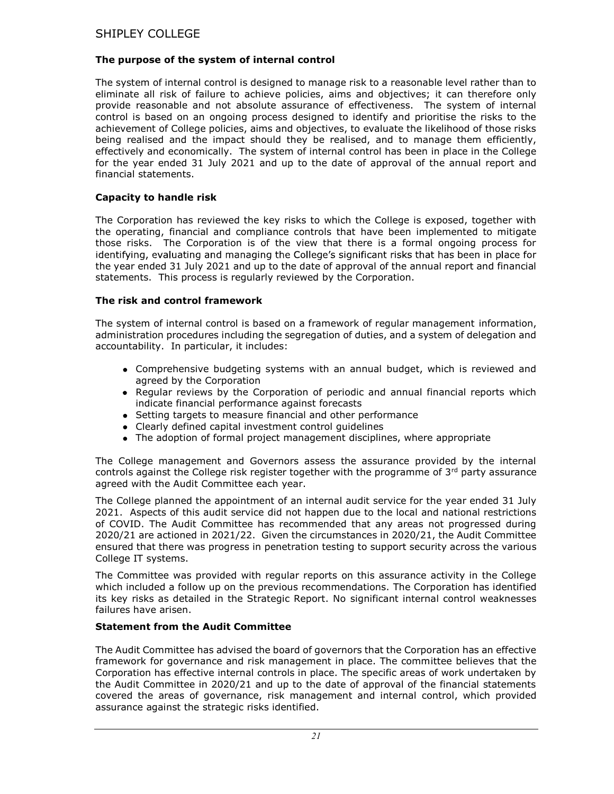## The purpose of the system of internal control

The system of internal control is designed to manage risk to a reasonable level rather than to eliminate all risk of failure to achieve policies, aims and objectives; it can therefore only provide reasonable and not absolute assurance of effectiveness. The system of internal control is based on an ongoing process designed to identify and prioritise the risks to the achievement of College policies, aims and objectives, to evaluate the likelihood of those risks being realised and the impact should they be realised, and to manage them efficiently, effectively and economically. The system of internal control has been in place in the College for the year ended 31 July 2021 and up to the date of approval of the annual report and financial statements.

## Capacity to handle risk

The Corporation has reviewed the key risks to which the College is exposed, together with the operating, financial and compliance controls that have been implemented to mitigate those risks. The Corporation is of the view that there is a formal ongoing process for identifying, evaluating and managing the College's significant risks that has been in place for the year ended 31 July 2021 and up to the date of approval of the annual report and financial statements. This process is regularly reviewed by the Corporation.

## The risk and control framework

The system of internal control is based on a framework of regular management information, administration procedures including the segregation of duties, and a system of delegation and accountability. In particular, it includes:

- Comprehensive budgeting systems with an annual budget, which is reviewed and agreed by the Corporation
- Regular reviews by the Corporation of periodic and annual financial reports which indicate financial performance against forecasts
- Setting targets to measure financial and other performance
- Clearly defined capital investment control guidelines
- The adoption of formal project management disciplines, where appropriate

The College management and Governors assess the assurance provided by the internal controls against the College risk register together with the programme of  $3<sup>rd</sup>$  party assurance agreed with the Audit Committee each year.

The College planned the appointment of an internal audit service for the year ended 31 July 2021. Aspects of this audit service did not happen due to the local and national restrictions of COVID. The Audit Committee has recommended that any areas not progressed during 2020/21 are actioned in 2021/22. Given the circumstances in 2020/21, the Audit Committee ensured that there was progress in penetration testing to support security across the various College IT systems.

The Committee was provided with regular reports on this assurance activity in the College which included a follow up on the previous recommendations. The Corporation has identified its key risks as detailed in the Strategic Report. No significant internal control weaknesses failures have arisen.

## Statement from the Audit Committee

The Audit Committee has advised the board of governors that the Corporation has an effective framework for governance and risk management in place. The committee believes that the Corporation has effective internal controls in place. The specific areas of work undertaken by the Audit Committee in 2020/21 and up to the date of approval of the financial statements covered the areas of governance, risk management and internal control, which provided assurance against the strategic risks identified.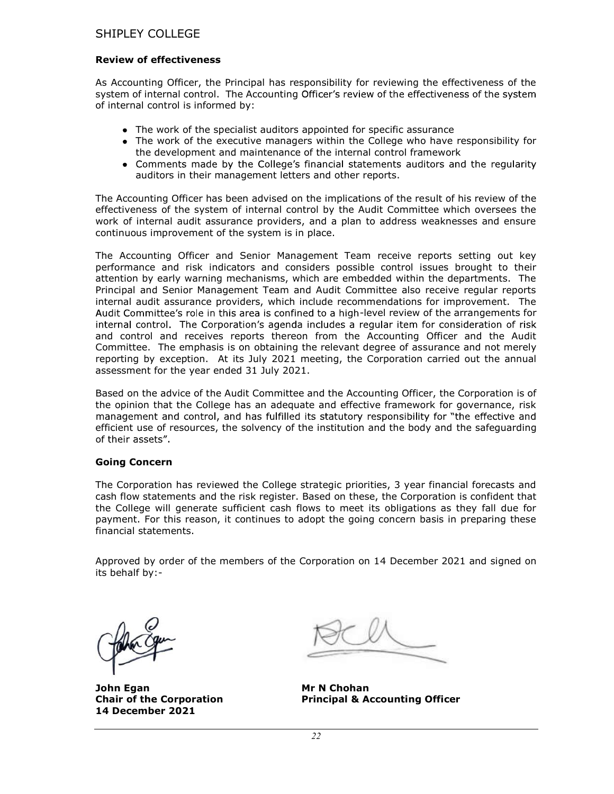#### Review of effectiveness

As Accounting Officer, the Principal has responsibility for reviewing the effectiveness of the system of internal control. The Accounting Officer's review of the effectiveness of the system of internal control is informed by:

- The work of the specialist auditors appointed for specific assurance
- The work of the executive managers within the College who have responsibility for the development and maintenance of the internal control framework
- Comments made by the College's financial statements auditors and the regularity auditors in their management letters and other reports.

The Accounting Officer has been advised on the implications of the result of his review of the effectiveness of the system of internal control by the Audit Committee which oversees the work of internal audit assurance providers, and a plan to address weaknesses and ensure continuous improvement of the system is in place.

The Accounting Officer and Senior Management Team receive reports setting out key performance and risk indicators and considers possible control issues brought to their attention by early warning mechanisms, which are embedded within the departments. The Principal and Senior Management Team and Audit Committee also receive regular reports internal audit assurance providers, which include recommendations for improvement. The Audit Committee's role in this area is confined to a high-level review of the arrangements for internal control. The Corporation's agenda includes a regular item for consideration of risk and control and receives reports thereon from the Accounting Officer and the Audit Committee. The emphasis is on obtaining the relevant degree of assurance and not merely reporting by exception. At its July 2021 meeting, the Corporation carried out the annual assessment for the year ended 31 July 2021.

Based on the advice of the Audit Committee and the Accounting Officer, the Corporation is of the opinion that the College has an adequate and effective framework for governance, risk management and control, and has fulfilled its statutory responsibility for "the effective and efficient use of resources, the solvency of the institution and the body and the safeguarding of their assets".

## Going Concern

The Corporation has reviewed the College strategic priorities, 3 year financial forecasts and cash flow statements and the risk register. Based on these, the Corporation is confident that the College will generate sufficient cash flows to meet its obligations as they fall due for payment. For this reason, it continues to adopt the going concern basis in preparing these financial statements.

Approved by order of the members of the Corporation on 14 December 2021 and signed on its behalf by:-

John Egan Mr N Chohan 14 December 2021

Chair of the Corporation Principal & Accounting Officer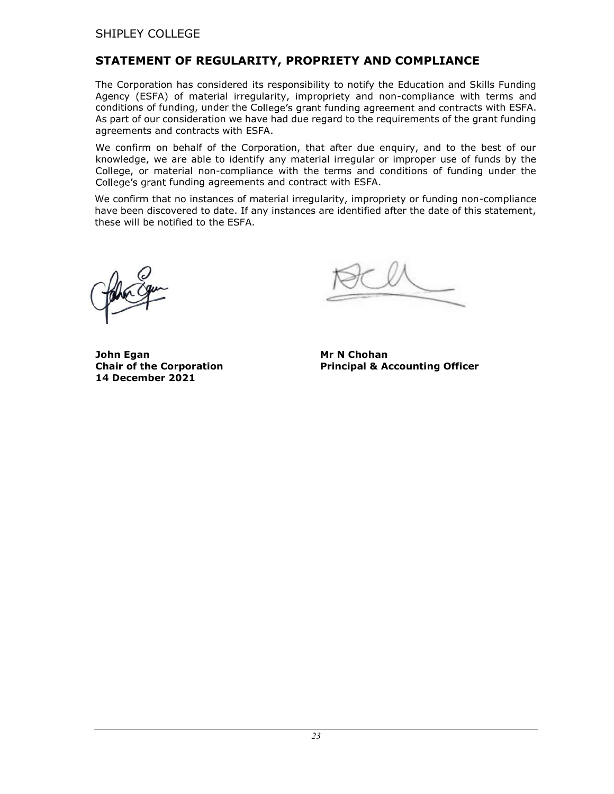# STATEMENT OF REGULARITY, PROPRIETY AND COMPLIANCE

The Corporation has considered its responsibility to notify the Education and Skills Funding Agency (ESFA) of material irregularity, impropriety and non-compliance with terms and conditions of funding, under the College's grant funding agreement and contracts with ESFA. As part of our consideration we have had due regard to the requirements of the grant funding agreements and contracts with ESFA.

We confirm on behalf of the Corporation, that after due enquiry, and to the best of our knowledge, we are able to identify any material irregular or improper use of funds by the College, or material non-compliance with the terms and conditions of funding under the College's grant funding agreements and contract with ESFA.

We confirm that no instances of material irregularity, impropriety or funding non-compliance have been discovered to date. If any instances are identified after the date of this statement, these will be notified to the ESFA.

 $\overline{a}$ 

Chair of the Corporation Principal & Accounting Officer

John Egan Mr N Chohan 14 December 2021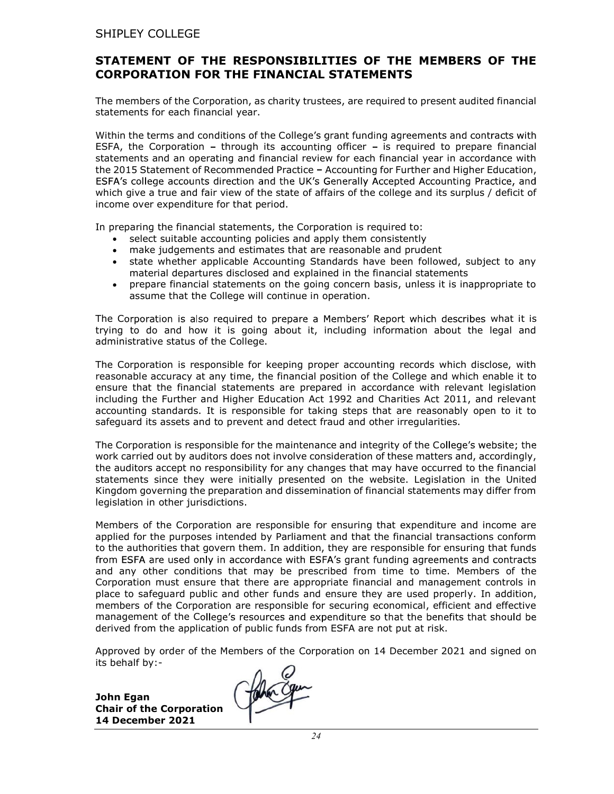# STATEMENT OF THE RESPONSIBILITIES OF THE MEMBERS OF THE CORPORATION FOR THE FINANCIAL STATEMENTS

The members of the Corporation, as charity trustees, are required to present audited financial statements for each financial year.

Within the terms and conditions of the College's grant funding agreements and contracts with ESFA, the Corporation – through its accounting officer – is required to prepare financial statements and an operating and financial review for each financial year in accordance with the 2015 Statement of Recommended Practice - Accounting for Further and Higher Education, ESFA's college accounts direction and the UK's Generally Accepted Accounting Practice, and which give a true and fair view of the state of affairs of the college and its surplus / deficit of income over expenditure for that period.

In preparing the financial statements, the Corporation is required to:

- select suitable accounting policies and apply them consistently
- make judgements and estimates that are reasonable and prudent
- state whether applicable Accounting Standards have been followed, subject to any material departures disclosed and explained in the financial statements
- prepare financial statements on the going concern basis, unless it is inappropriate to  $\bullet$ assume that the College will continue in operation.

The Corporation is also required to prepare a Members' Report which describes what it is trying to do and how it is going about it, including information about the legal and administrative status of the College.

The Corporation is responsible for keeping proper accounting records which disclose, with reasonable accuracy at any time, the financial position of the College and which enable it to ensure that the financial statements are prepared in accordance with relevant legislation including the Further and Higher Education Act 1992 and Charities Act 2011, and relevant accounting standards. It is responsible for taking steps that are reasonably open to it to safeguard its assets and to prevent and detect fraud and other irregularities.

The Corporation is responsible for the maintenance and integrity of the C work carried out by auditors does not involve consideration of these matters and, accordingly, the auditors accept no responsibility for any changes that may have occurred to the financial statements since they were initially presented on the website. Legislation in the United Kingdom governing the preparation and dissemination of financial statements may differ from legislation in other jurisdictions.

Members of the Corporation are responsible for ensuring that expenditure and income are applied for the purposes intended by Parliament and that the financial transactions conform to the authorities that govern them. In addition, they are responsible for ensuring that funds from ESFA are used only in accordance with ESFA's grant funding agreements and contracts and any other conditions that may be prescribed from time to time. Members of the Corporation must ensure that there are appropriate financial and management controls in place to safeguard public and other funds and ensure they are used properly. In addition, members of the Corporation are responsible for securing economical, efficient and effective management of the College's resources and expenditure so that the benefits that should be derived from the application of public funds from ESFA are not put at risk.

Approved by order of the Members of the Corporation on 14 December 2021 and signed on its behalf by:-

John Egan Chair of the Corporation 14 December 2021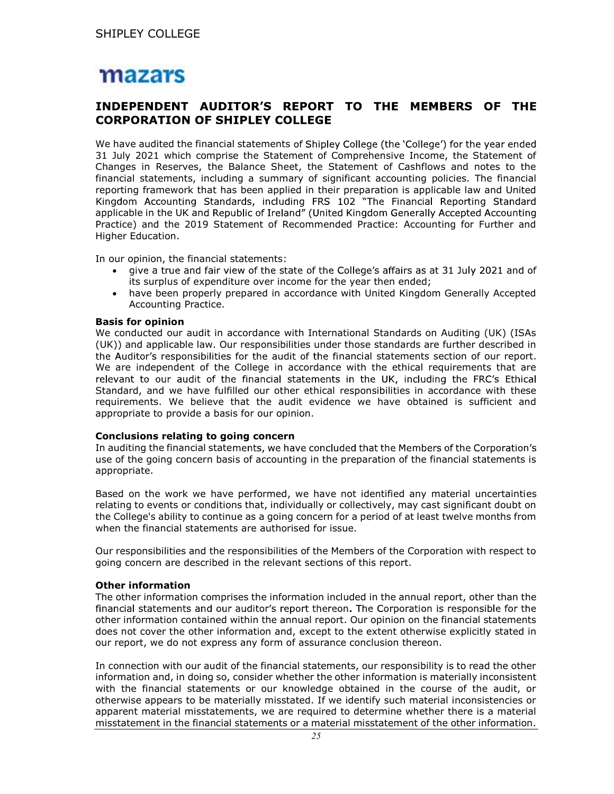# mazars

# INDEPENDENT AUDITOR'S REPORT TO THE MEMBERS OF THE **CORPORATION OF SHIPLEY COLLEGE**

We have audited the financial statements of Shipley College (the 'College') for the year ended 31 July 2021 which comprise the Statement of Comprehensive Income, the Statement of Changes in Reserves, the Balance Sheet, the Statement of Cashflows and notes to the financial statements, including a summary of significant accounting policies. The financial reporting framework that has been applied in their preparation is applicable law and United Kingdom Accounting Standards, including FRS 102 "The Financial Reporting Standard applicable in the UK and Republic of Ireland" (United Kingdom Generally Accepted Accounting Practice) and the 2019 Statement of Recommended Practice: Accounting for Further and Higher Education.

In our opinion, the financial statements:

- give a true and fair view of the state of the College's affairs as at 31 July 2021 and of its surplus of expenditure over income for the year then ended;
- have been properly prepared in accordance with United Kingdom Generally Accepted Accounting Practice.

#### Basis for opinion

We conducted our audit in accordance with International Standards on Auditing (UK) (ISAs (UK)) and applicable law. Our responsibilities under those standards are further described in the Auditor's responsibilities for the audit of the financial statements section of our report. We are independent of the College in accordance with the ethical requirements that are relevant to our audit of the financial statements in the UK, including the FRC's Ethical Standard, and we have fulfilled our other ethical responsibilities in accordance with these requirements. We believe that the audit evidence we have obtained is sufficient and appropriate to provide a basis for our opinion.

#### Conclusions relating to going concern

In auditing the financial statements, we have concluded that the Members of the Corporation's use of the going concern basis of accounting in the preparation of the financial statements is appropriate.

Based on the work we have performed, we have not identified any material uncertainties relating to events or conditions that, individually or collectively, may cast significant doubt on the College's ability to continue as a going concern for a period of at least twelve months from when the financial statements are authorised for issue.

Our responsibilities and the responsibilities of the Members of the Corporation with respect to going concern are described in the relevant sections of this report.

## Other information

The other information comprises the information included in the annual report, other than the financial statements and our auditor's report thereon. The Corporation is responsible for the other information contained within the annual report. Our opinion on the financial statements does not cover the other information and, except to the extent otherwise explicitly stated in our report, we do not express any form of assurance conclusion thereon.

In connection with our audit of the financial statements, our responsibility is to read the other information and, in doing so, consider whether the other information is materially inconsistent with the financial statements or our knowledge obtained in the course of the audit, or otherwise appears to be materially misstated. If we identify such material inconsistencies or apparent material misstatements, we are required to determine whether there is a material misstatement in the financial statements or a material misstatement of the other information.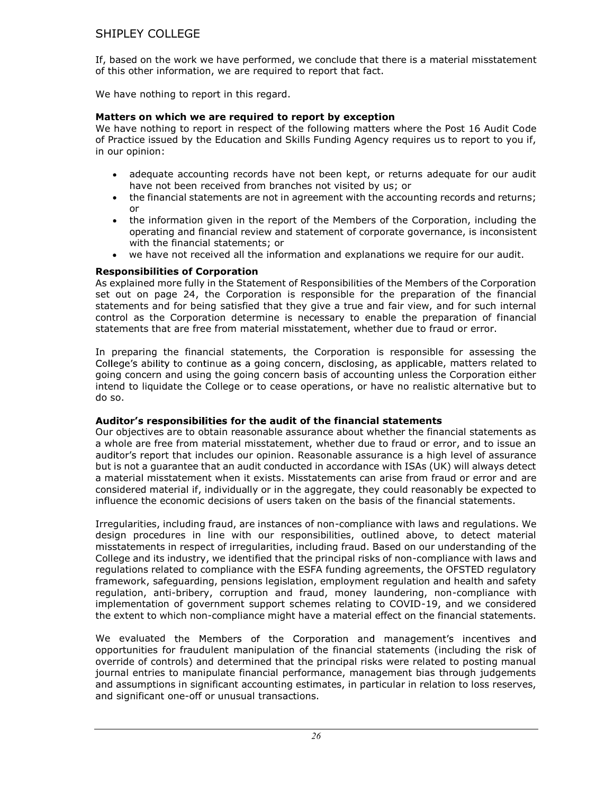If, based on the work we have performed, we conclude that there is a material misstatement of this other information, we are required to report that fact.

We have nothing to report in this regard.

# Matters on which we are required to report by exception

We have nothing to report in respect of the following matters where the Post 16 Audit Code of Practice issued by the Education and Skills Funding Agency requires us to report to you if, in our opinion:

- adequate accounting records have not been kept, or returns adequate for our audit  $\bullet$ have not been received from branches not visited by us; or
- the financial statements are not in agreement with the accounting records and returns;  $\bullet$ or
- the information given in the report of the Members of the Corporation, including the  $\bullet$ operating and financial review and statement of corporate governance, is inconsistent with the financial statements; or
- we have not received all the information and explanations we require for our audit.

## Responsibilities of Corporation

As explained more fully in the Statement of Responsibilities of the Members of the Corporation set out on page 24, the Corporation is responsible for the preparation of the financial statements and for being satisfied that they give a true and fair view, and for such internal control as the Corporation determine is necessary to enable the preparation of financial statements that are free from material misstatement, whether due to fraud or error.

In preparing the financial statements, the Corporation is responsible for assessing the College's ability to continue as a going concern, disclosing, as applicable, matters related to going concern and using the going concern basis of accounting unless the Corporation either intend to liquidate the College or to cease operations, or have no realistic alternative but to do so.

## Auditor's responsibilities for the audit of the financial statements

Our objectives are to obtain reasonable assurance about whether the financial statements as a whole are free from material misstatement, whether due to fraud or error, and to issue an auditor's report that includes our opinion. Reasonable assurance is a high level of assurance but is not a guarantee that an audit conducted in accordance with ISAs (UK) will always detect a material misstatement when it exists. Misstatements can arise from fraud or error and are considered material if, individually or in the aggregate, they could reasonably be expected to influence the economic decisions of users taken on the basis of the financial statements.

Irregularities, including fraud, are instances of non-compliance with laws and regulations. We design procedures in line with our responsibilities, outlined above, to detect material misstatements in respect of irregularities, including fraud. Based on our understanding of the College and its industry, we identified that the principal risks of non-compliance with laws and regulations related to compliance with the ESFA funding agreements, the OFSTED regulatory framework, safeguarding, pensions legislation, employment regulation and health and safety regulation, anti-bribery, corruption and fraud, money laundering, non-compliance with implementation of government support schemes relating to COVID-19, and we considered the extent to which non-compliance might have a material effect on the financial statements.

We evaluated the Members of the Corporation and management's incentives and opportunities for fraudulent manipulation of the financial statements (including the risk of override of controls) and determined that the principal risks were related to posting manual journal entries to manipulate financial performance, management bias through judgements and assumptions in significant accounting estimates, in particular in relation to loss reserves, and significant one-off or unusual transactions.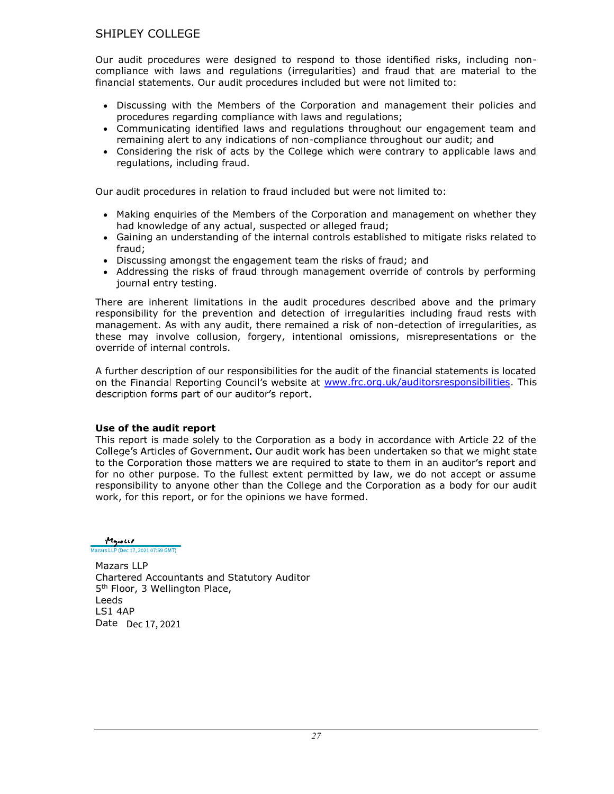Our audit procedures were designed to respond to those identified risks, including noncompliance with laws and regulations (irregularities) and fraud that are material to the financial statements. Our audit procedures included but were not limited to:

- Discussing with the Members of the Corporation and management their policies and procedures regarding compliance with laws and regulations;
- Communicating identified laws and regulations throughout our engagement team and remaining alert to any indications of non-compliance throughout our audit; and
- Considering the risk of acts by the College which were contrary to applicable laws and regulations, including fraud.

Our audit procedures in relation to fraud included but were not limited to:

- Making enquiries of the Members of the Corporation and management on whether they had knowledge of any actual, suspected or alleged fraud;
- Gaining an understanding of the internal controls established to mitigate risks related to fraud;
- Discussing amongst the engagement team the risks of fraud; and
- Addressing the risks of fraud through management override of controls by performing journal entry testing.

There are inherent limitations in the audit procedures described above and the primary responsibility for the prevention and detection of irregularities including fraud rests with management. As with any audit, there remained a risk of non-detection of irregularities, as these may involve collusion, forgery, intentional omissions, misrepresentations or the override of internal controls.

A further description of our responsibilities for the audit of the financial statements is located on the Financial Reporting Council's website at www.frc.org.uk/auditorsresponsibilities. This description forms part of our auditor's report.

## Use of the audit report

This report is made solely to the Corporation as a body in accordance with Article 22 of the College's Articles of Government. Our audit work has been undertaken so that we might state to the Corporation those matters we are required to state to them in an auditor's report and for no other purpose. To the fullest extent permitted by law, we do not accept or assume responsibility to anyone other than the College and the Corporation as a body for our audit work, for this report, or for the opinions we have formed.

Mayour Mazars LLP (Dec 17, 2021 07:59 GMT)

Mazars LLP Chartered Accountants and Statutory Auditor 5<sup>th</sup> Floor, 3 Wellington Place, Leeds LS1 4AP Date Dec 17, 2021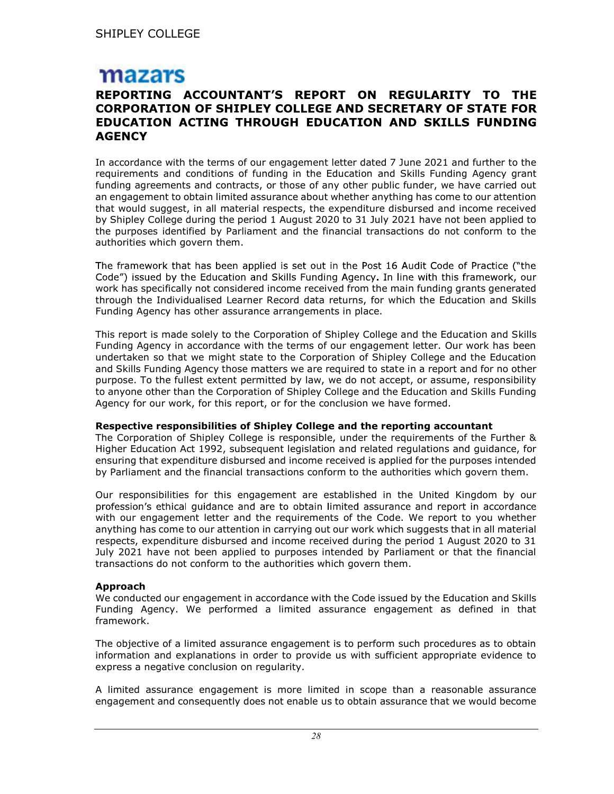# mazars

# REPORTING ACCOUNTANT'S REPORT ON REGULARITY TO THE **CORPORATION OF SHIPLEY COLLEGE AND SECRETARY OF STATE FOR** EDUCATION ACTING THROUGH EDUCATION AND SKILLS FUNDING **AGENCY**

In accordance with the terms of our engagement letter dated 7 June 2021 and further to the requirements and conditions of funding in the Education and Skills Funding Agency grant funding agreements and contracts, or those of any other public funder, we have carried out an engagement to obtain limited assurance about whether anything has come to our attention that would suggest, in all material respects, the expenditure disbursed and income received by Shipley College during the period 1 August 2020 to 31 July 2021 have not been applied to the purposes identified by Parliament and the financial transactions do not conform to the authorities which govern them.

The framework that has been applied is set out in the Post 16 Audit Code of Practice ("the Code") issued by the Education and Skills Funding Agency. In line with this framework, our work has specifically not considered income received from the main funding grants generated through the Individualised Learner Record data returns, for which the Education and Skills Funding Agency has other assurance arrangements in place.

This report is made solely to the Corporation of Shipley College and the Education and Skills Funding Agency in accordance with the terms of our engagement letter. Our work has been undertaken so that we might state to the Corporation of Shipley College and the Education and Skills Funding Agency those matters we are required to state in a report and for no other purpose. To the fullest extent permitted by law, we do not accept, or assume, responsibility to anyone other than the Corporation of Shipley College and the Education and Skills Funding Agency for our work, for this report, or for the conclusion we have formed.

## Respective responsibilities of Shipley College and the reporting accountant

The Corporation of Shipley College is responsible, under the requirements of the Further & Higher Education Act 1992, subsequent legislation and related regulations and guidance, for ensuring that expenditure disbursed and income received is applied for the purposes intended by Parliament and the financial transactions conform to the authorities which govern them.

Our responsibilities for this engagement are established in the United Kingdom by our profession's ethical quidance and are to obtain limited assurance and report in accordance with our engagement letter and the requirements of the Code. We report to you whether anything has come to our attention in carrying out our work which suggests that in all material respects, expenditure disbursed and income received during the period 1 August 2020 to 31 July 2021 have not been applied to purposes intended by Parliament or that the financial transactions do not conform to the authorities which govern them.

# Approach

We conducted our engagement in accordance with the Code issued by the Education and Skills Funding Agency. We performed a limited assurance engagement as defined in that framework.

The objective of a limited assurance engagement is to perform such procedures as to obtain information and explanations in order to provide us with sufficient appropriate evidence to express a negative conclusion on regularity.

A limited assurance engagement is more limited in scope than a reasonable assurance engagement and consequently does not enable us to obtain assurance that we would become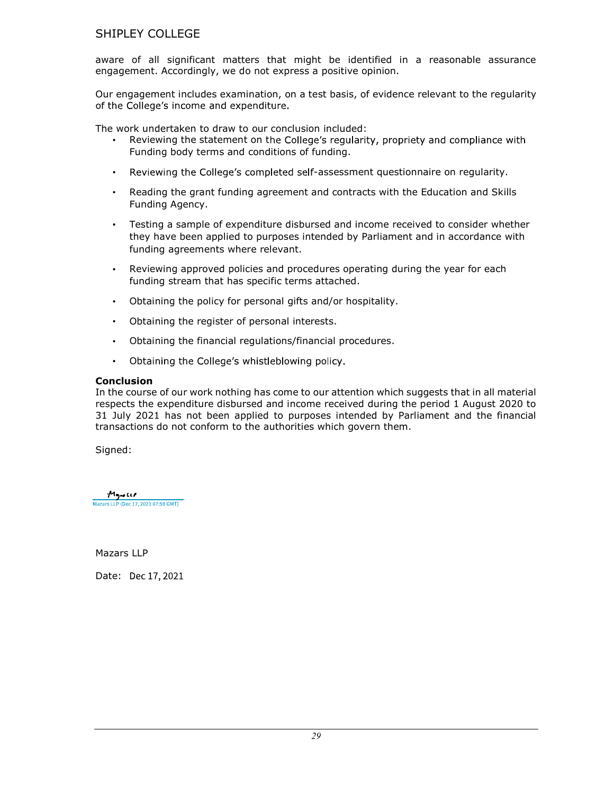aware of all significant matters that might be identified in a reasonable assurance engagement. Accordingly, we do not express a positive opinion.

Our engagement includes examination, on a test basis, of evidence relevant to the regularity of the College's income and expenditure.

The work undertaken to draw to our conclusion included:

- Reviewing the statement on the College's regularity, propriety and compliance with Funding body terms and conditions of funding.
- Reviewing the College's completed self-assessment questionnaire on regularity.  $\bullet$
- Reading the grant funding agreement and contracts with the Education and Skills  $\bullet$ Funding Agency.
- $\bullet$ Testing a sample of expenditure disbursed and income received to consider whether they have been applied to purposes intended by Parliament and in accordance with funding agreements where relevant.
- $\bullet$ Reviewing approved policies and procedures operating during the year for each funding stream that has specific terms attached.
- Obtaining the policy for personal gifts and/or hospitality.  $\bullet$
- Obtaining the register of personal interests.  $\bullet$
- Obtaining the financial regulations/financial procedures.  $\bullet$
- $\bullet$ Obtaining the College's whistleblowing policy.

## **Conclusion**

In the course of our work nothing has come to our attention which suggests that in all material respects the expenditure disbursed and income received during the period 1 August 2020 to 31 July 2021 has not been applied to purposes intended by Parliament and the financial transactions do not conform to the authorities which govern them.

Signed:

Mayorell Mazars LLP (Dec 17, 2021 07:59 GMT)

Mazars LLP

Date: Dec 17, 2021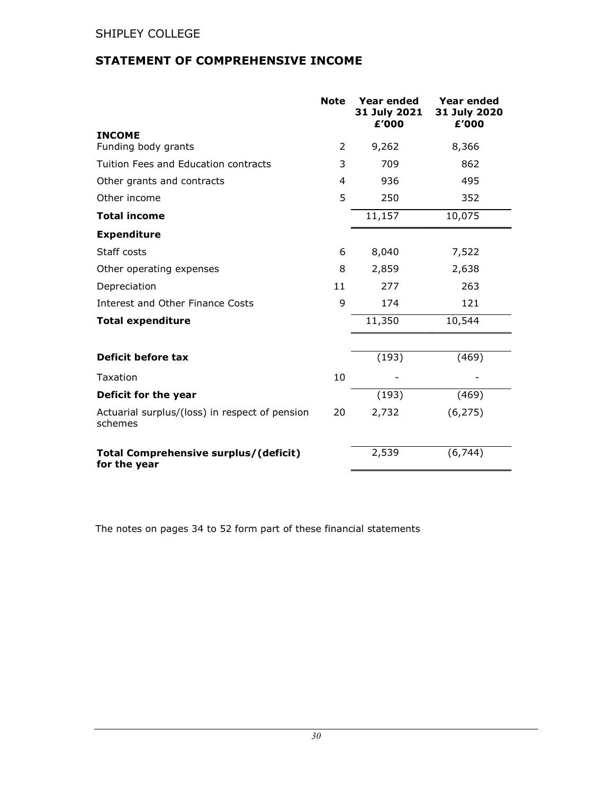# STATEMENT OF COMPREHENSIVE INCOME

|                                                              | <b>Note</b> | <b>Year ended</b><br>31 July 2021<br>£'000 | Year ended<br>31 July 2020<br>£'000 |
|--------------------------------------------------------------|-------------|--------------------------------------------|-------------------------------------|
| <b>INCOME</b>                                                |             |                                            |                                     |
| Funding body grants                                          | 2           | 9,262                                      | 8,366                               |
| Tuition Fees and Education contracts                         | 3           | 709                                        | 862                                 |
| Other grants and contracts                                   | 4           | 936                                        | 495                                 |
| Other income                                                 | 5           | 250                                        | 352                                 |
| <b>Total income</b>                                          |             | 11,157                                     | 10,075                              |
| <b>Expenditure</b>                                           |             |                                            |                                     |
| Staff costs                                                  | 6           | 8,040                                      | 7,522                               |
| Other operating expenses                                     | 8           | 2,859                                      | 2,638                               |
| Depreciation                                                 | 11          | 277                                        | 263                                 |
| <b>Interest and Other Finance Costs</b>                      | 9           | 174                                        | 121                                 |
| <b>Total expenditure</b>                                     |             | 11,350                                     | 10,544                              |
|                                                              |             |                                            |                                     |
| Deficit before tax                                           |             | (193)                                      | (469)                               |
| Taxation                                                     | 10          |                                            |                                     |
| Deficit for the year                                         |             | (193)                                      | (469)                               |
| Actuarial surplus/(loss) in respect of pension<br>schemes    | 20          | 2,732                                      | (6, 275)                            |
| <b>Total Comprehensive surplus/(deficit)</b><br>for the year |             | 2,539                                      | (6, 744)                            |

The notes on pages 34 to 52 form part of these financial statements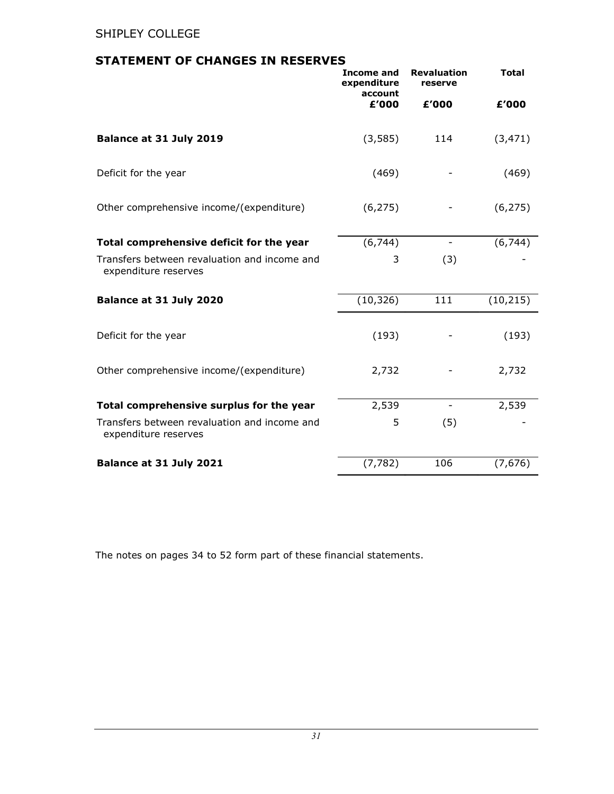# STATEMENT OF CHANGES IN RESERVES

|                                                                      | <b>Income and</b><br>expenditure<br>account | <b>Revaluation</b><br>reserve | <b>Total</b>           |
|----------------------------------------------------------------------|---------------------------------------------|-------------------------------|------------------------|
|                                                                      | £'000                                       | £'000                         | £'000                  |
| Balance at 31 July 2019                                              | (3,585)                                     | 114                           | (3, 471)               |
| Deficit for the year                                                 | (469)                                       |                               | (469)                  |
| Other comprehensive income/(expenditure)                             | (6, 275)                                    |                               | (6, 275)               |
| Total comprehensive deficit for the year                             | (6, 744)                                    |                               | (6, 744)               |
| Transfers between revaluation and income and<br>expenditure reserves | 3                                           | (3)                           |                        |
| Balance at 31 July 2020                                              | (10, 326)                                   | 111                           | $(10, 21\overline{5})$ |
| Deficit for the year                                                 | (193)                                       |                               | (193)                  |
| Other comprehensive income/(expenditure)                             | 2,732                                       |                               | 2,732                  |
| Total comprehensive surplus for the year                             | 2,539                                       |                               | 2,539                  |
| Transfers between revaluation and income and<br>expenditure reserves | 5                                           | (5)                           |                        |
| Balance at 31 July 2021                                              | (7, 782)                                    | 106                           | (7,676)                |

The notes on pages 34 to 52 form part of these financial statements.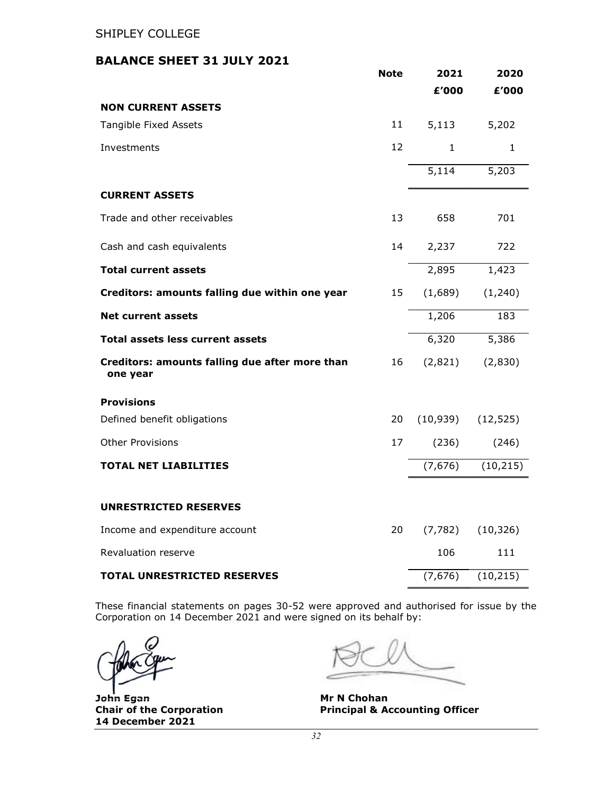# BALANCE SHEET 31 JULY 2021

|                                                            | <b>Note</b> | 2021         | 2020      |
|------------------------------------------------------------|-------------|--------------|-----------|
|                                                            |             | £'000        | £'000     |
| <b>NON CURRENT ASSETS</b>                                  |             |              |           |
| Tangible Fixed Assets                                      | 11          | 5,113        | 5,202     |
| Investments                                                | 12          | $\mathbf{1}$ | 1         |
|                                                            |             | 5,114        | 5,203     |
| <b>CURRENT ASSETS</b>                                      |             |              |           |
| Trade and other receivables                                | 13          | 658          | 701       |
| Cash and cash equivalents                                  | 14          | 2,237        | 722       |
| <b>Total current assets</b>                                |             | 2,895        | 1,423     |
| Creditors: amounts falling due within one year             | 15          | (1,689)      | (1,240)   |
| <b>Net current assets</b>                                  |             | 1,206        | 183       |
| Total assets less current assets                           |             | 6,320        | 5,386     |
| Creditors: amounts falling due after more than<br>one year | 16          | (2,821)      | (2,830)   |
| <b>Provisions</b>                                          |             |              |           |
| Defined benefit obligations                                | 20          | (10, 939)    | (12, 525) |
| <b>Other Provisions</b>                                    | 17          | (236)        | (246)     |
| <b>TOTAL NET LIABILITIES</b>                               |             | (7,676)      | (10, 215) |
| <b>UNRESTRICTED RESERVES</b>                               |             |              |           |
| Income and expenditure account                             | 20          | (7, 782)     | (10, 326) |
| Revaluation reserve                                        |             | 106          | 111       |
| <b>TOTAL UNRESTRICTED RESERVES</b>                         |             | (7,676)      | (10, 215) |

These financial statements on pages 30-52 were approved and authorised for issue by the Corporation on 14 December 2021 and were signed on its behalf by:

John Egan 14 December 2021

**Mr N Chohan** Chair of the Corporation **Principal & Accounting Officer**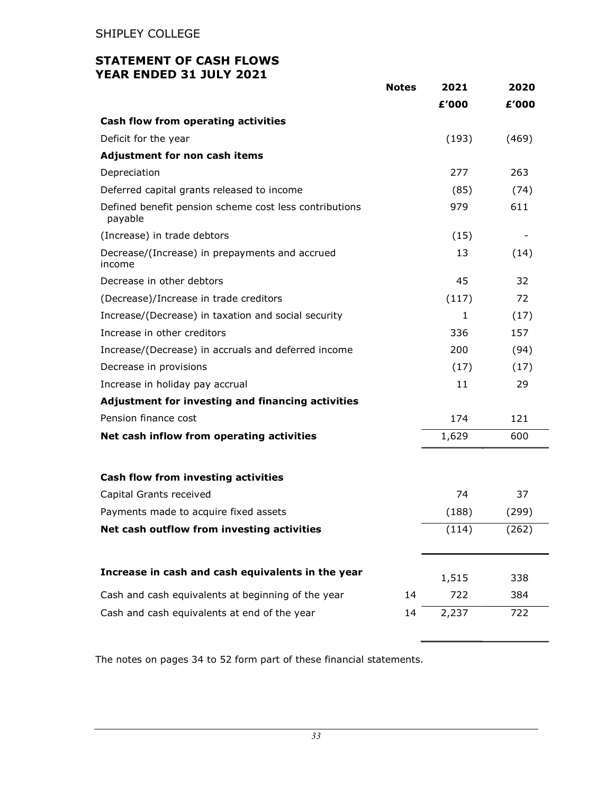# STATEMENT OF CASH FLOWS YEAR ENDED 31 JULY 2021

|                                                                   | <b>Notes</b> | 2021         | 2020  |
|-------------------------------------------------------------------|--------------|--------------|-------|
|                                                                   |              | £'000        | £'000 |
| Cash flow from operating activities                               |              |              |       |
| Deficit for the year                                              |              | (193)        | (469) |
| Adjustment for non cash items                                     |              |              |       |
| Depreciation                                                      |              | 277          | 263   |
| Deferred capital grants released to income                        |              | (85)         | (74)  |
| Defined benefit pension scheme cost less contributions<br>payable |              | 979          | 611   |
| (Increase) in trade debtors                                       |              | (15)         |       |
| Decrease/(Increase) in prepayments and accrued<br>income          |              | 13           | (14)  |
| Decrease in other debtors                                         |              | 45           | 32    |
| (Decrease)/Increase in trade creditors                            |              | (117)        | 72    |
| Increase/(Decrease) in taxation and social security               |              | $\mathbf{1}$ | (17)  |
| Increase in other creditors                                       |              | 336          | 157   |
| Increase/(Decrease) in accruals and deferred income               |              | 200          | (94)  |
| Decrease in provisions                                            |              | (17)         | (17)  |
| Increase in holiday pay accrual                                   |              | 11           | 29    |
| Adjustment for investing and financing activities                 |              |              |       |
| Pension finance cost                                              |              | 174          | 121   |
| Net cash inflow from operating activities                         |              | 1,629        | 600   |
| Cash flow from investing activities                               |              |              |       |
| Capital Grants received                                           |              | 74           | 37    |
| Payments made to acquire fixed assets                             |              | (188)        | (299) |
| Net cash outflow from investing activities                        |              | (114)        | (262) |
|                                                                   |              |              |       |
| Increase in cash and cash equivalents in the year                 |              | 1,515        | 338   |
| Cash and cash equivalents at beginning of the year                | 14           | 722          | 384   |
| Cash and cash equivalents at end of the year                      | 14           | 2,237        | 722   |

The notes on pages 34 to 52 form part of these financial statements.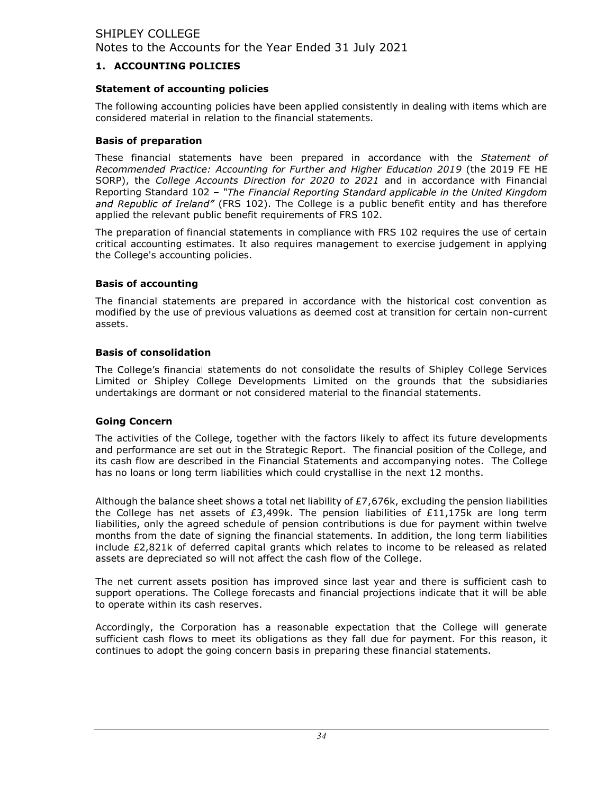## 1. ACCOUNTING POLICIES

## Statement of accounting policies

The following accounting policies have been applied consistently in dealing with items which are considered material in relation to the financial statements.

## Basis of preparation

These financial statements have been prepared in accordance with the Statement of Recommended Practice: Accounting for Further and Higher Education 2019 (the 2019 FE HE SORP), the College Accounts Direction for 2020 to 2021 and in accordance with Financial Reporting Standard 102 - "The Financial Reporting Standard applicable in the United Kingdom and Republic of Ireland" (FRS 102). The College is a public benefit entity and has therefore applied the relevant public benefit requirements of FRS 102.

The preparation of financial statements in compliance with FRS 102 requires the use of certain critical accounting estimates. It also requires management to exercise judgement in applying the College's accounting policies.

## Basis of accounting

The financial statements are prepared in accordance with the historical cost convention as modified by the use of previous valuations as deemed cost at transition for certain non-current assets.

## Basis of consolidation

The College's financial statements do not consolidate the results of Shipley College Services Limited or Shipley College Developments Limited on the grounds that the subsidiaries undertakings are dormant or not considered material to the financial statements.

# Going Concern

The activities of the College, together with the factors likely to affect its future developments and performance are set out in the Strategic Report. The financial position of the College, and its cash flow are described in the Financial Statements and accompanying notes. The College has no loans or long term liabilities which could crystallise in the next 12 months.

Although the balance sheet shows a total net liability of  $E7,676k$ , excluding the pension liabilities the College has net assets of £3,499k. The pension liabilities of £11,175k are long term liabilities, only the agreed schedule of pension contributions is due for payment within twelve months from the date of signing the financial statements. In addition, the long term liabilities include £2,821k of deferred capital grants which relates to income to be released as related assets are depreciated so will not affect the cash flow of the College.

The net current assets position has improved since last year and there is sufficient cash to support operations. The College forecasts and financial projections indicate that it will be able to operate within its cash reserves.

Accordingly, the Corporation has a reasonable expectation that the College will generate sufficient cash flows to meet its obligations as they fall due for payment. For this reason, it continues to adopt the going concern basis in preparing these financial statements.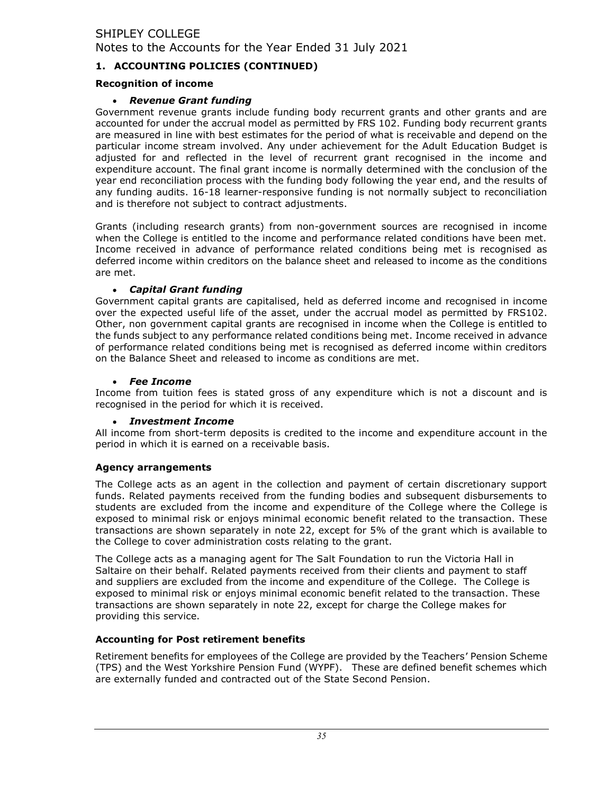# 1. ACCOUNTING POLICIES (CONTINUED)

## Recognition of income

## Revenue Grant funding

Government revenue grants include funding body recurrent grants and other grants and are accounted for under the accrual model as permitted by FRS 102. Funding body recurrent grants are measured in line with best estimates for the period of what is receivable and depend on the particular income stream involved. Any under achievement for the Adult Education Budget is adjusted for and reflected in the level of recurrent grant recognised in the income and expenditure account. The final grant income is normally determined with the conclusion of the year end reconciliation process with the funding body following the year end, and the results of any funding audits. 16-18 learner-responsive funding is not normally subject to reconciliation and is therefore not subject to contract adjustments.

Grants (including research grants) from non-government sources are recognised in income when the College is entitled to the income and performance related conditions have been met. Income received in advance of performance related conditions being met is recognised as deferred income within creditors on the balance sheet and released to income as the conditions are met.

## Capital Grant funding

Government capital grants are capitalised, held as deferred income and recognised in income over the expected useful life of the asset, under the accrual model as permitted by FRS102. Other, non government capital grants are recognised in income when the College is entitled to the funds subject to any performance related conditions being met. Income received in advance of performance related conditions being met is recognised as deferred income within creditors on the Balance Sheet and released to income as conditions are met.

## Fee Income

Income from tuition fees is stated gross of any expenditure which is not a discount and is recognised in the period for which it is received.

# Investment Income

All income from short-term deposits is credited to the income and expenditure account in the period in which it is earned on a receivable basis.

# Agency arrangements

The College acts as an agent in the collection and payment of certain discretionary support funds. Related payments received from the funding bodies and subsequent disbursements to students are excluded from the income and expenditure of the College where the College is exposed to minimal risk or enjoys minimal economic benefit related to the transaction. These transactions are shown separately in note 22, except for 5% of the grant which is available to the College to cover administration costs relating to the grant.

The College acts as a managing agent for The Salt Foundation to run the Victoria Hall in Saltaire on their behalf. Related payments received from their clients and payment to staff and suppliers are excluded from the income and expenditure of the College. The College is exposed to minimal risk or enjoys minimal economic benefit related to the transaction. These transactions are shown separately in note 22, except for charge the College makes for providing this service.

# Accounting for Post retirement benefits

Retirement benefits for employees of the College are provided by the Teachers' Pension Scheme (TPS) and the West Yorkshire Pension Fund (WYPF). These are defined benefit schemes which are externally funded and contracted out of the State Second Pension.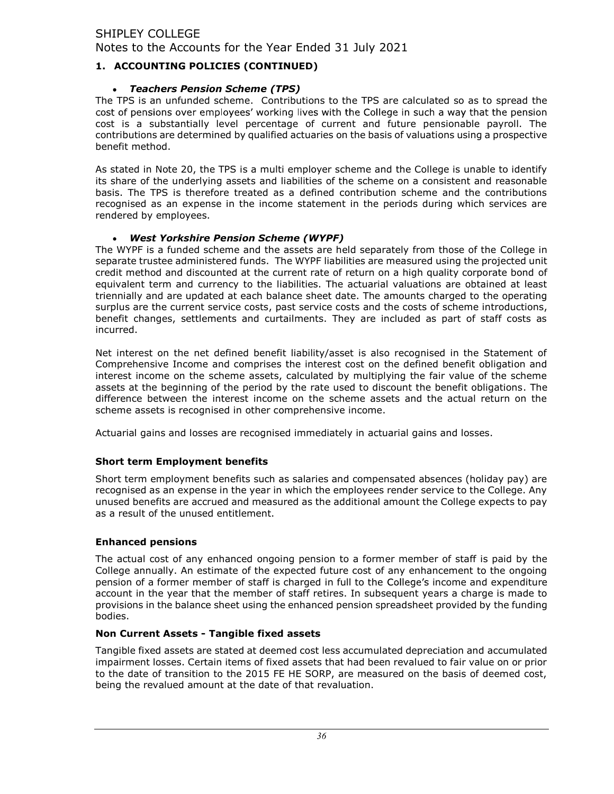# 1. ACCOUNTING POLICIES (CONTINUED)

## Teachers Pension Scheme (TPS)

The TPS is an unfunded scheme. Contributions to the TPS are calculated so as to spread the cost of pensions over employees' working lives with the College in such a way that the pension cost is a substantially level percentage of current and future pensionable payroll. The contributions are determined by qualified actuaries on the basis of valuations using a prospective benefit method.

As stated in Note 20, the TPS is a multi employer scheme and the College is unable to identify its share of the underlying assets and liabilities of the scheme on a consistent and reasonable basis. The TPS is therefore treated as a defined contribution scheme and the contributions recognised as an expense in the income statement in the periods during which services are rendered by employees.

## West Yorkshire Pension Scheme (WYPF)

The WYPF is a funded scheme and the assets are held separately from those of the College in separate trustee administered funds. The WYPF liabilities are measured using the projected unit credit method and discounted at the current rate of return on a high quality corporate bond of equivalent term and currency to the liabilities. The actuarial valuations are obtained at least triennially and are updated at each balance sheet date. The amounts charged to the operating surplus are the current service costs, past service costs and the costs of scheme introductions, benefit changes, settlements and curtailments. They are included as part of staff costs as incurred.

Net interest on the net defined benefit liability/asset is also recognised in the Statement of Comprehensive Income and comprises the interest cost on the defined benefit obligation and interest income on the scheme assets, calculated by multiplying the fair value of the scheme assets at the beginning of the period by the rate used to discount the benefit obligations. The difference between the interest income on the scheme assets and the actual return on the scheme assets is recognised in other comprehensive income.

Actuarial gains and losses are recognised immediately in actuarial gains and losses.

## Short term Employment benefits

Short term employment benefits such as salaries and compensated absences (holiday pay) are recognised as an expense in the year in which the employees render service to the College. Any unused benefits are accrued and measured as the additional amount the College expects to pay as a result of the unused entitlement.

## Enhanced pensions

The actual cost of any enhanced ongoing pension to a former member of staff is paid by the College annually. An estimate of the expected future cost of any enhancement to the ongoing pension of a former member of staff is charged in full to the College's income and expenditure account in the year that the member of staff retires. In subsequent years a charge is made to provisions in the balance sheet using the enhanced pension spreadsheet provided by the funding bodies.

## Non Current Assets - Tangible fixed assets

Tangible fixed assets are stated at deemed cost less accumulated depreciation and accumulated impairment losses. Certain items of fixed assets that had been revalued to fair value on or prior to the date of transition to the 2015 FE HE SORP, are measured on the basis of deemed cost, being the revalued amount at the date of that revaluation.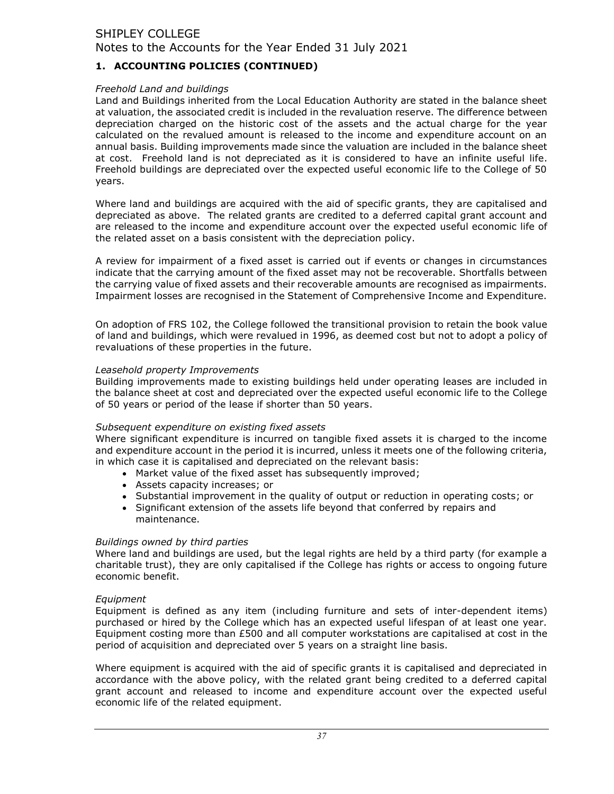# 1. ACCOUNTING POLICIES (CONTINUED)

#### Freehold Land and buildings

Land and Buildings inherited from the Local Education Authority are stated in the balance sheet at valuation, the associated credit is included in the revaluation reserve. The difference between depreciation charged on the historic cost of the assets and the actual charge for the year calculated on the revalued amount is released to the income and expenditure account on an annual basis. Building improvements made since the valuation are included in the balance sheet at cost. Freehold land is not depreciated as it is considered to have an infinite useful life. Freehold buildings are depreciated over the expected useful economic life to the College of 50 years.

Where land and buildings are acquired with the aid of specific grants, they are capitalised and depreciated as above. The related grants are credited to a deferred capital grant account and are released to the income and expenditure account over the expected useful economic life of the related asset on a basis consistent with the depreciation policy.

A review for impairment of a fixed asset is carried out if events or changes in circumstances indicate that the carrying amount of the fixed asset may not be recoverable. Shortfalls between the carrying value of fixed assets and their recoverable amounts are recognised as impairments. Impairment losses are recognised in the Statement of Comprehensive Income and Expenditure.

On adoption of FRS 102, the College followed the transitional provision to retain the book value of land and buildings, which were revalued in 1996, as deemed cost but not to adopt a policy of revaluations of these properties in the future.

#### Leasehold property Improvements

Building improvements made to existing buildings held under operating leases are included in the balance sheet at cost and depreciated over the expected useful economic life to the College of 50 years or period of the lease if shorter than 50 years.

#### Subsequent expenditure on existing fixed assets

Where significant expenditure is incurred on tangible fixed assets it is charged to the income and expenditure account in the period it is incurred, unless it meets one of the following criteria, in which case it is capitalised and depreciated on the relevant basis:

- Market value of the fixed asset has subsequently improved;
- Assets capacity increases; or
- Substantial improvement in the quality of output or reduction in operating costs; or
- Significant extension of the assets life beyond that conferred by repairs and maintenance.

#### Buildings owned by third parties

Where land and buildings are used, but the legal rights are held by a third party (for example a charitable trust), they are only capitalised if the College has rights or access to ongoing future economic benefit.

#### Equipment

Equipment is defined as any item (including furniture and sets of inter-dependent items) purchased or hired by the College which has an expected useful lifespan of at least one year. Equipment costing more than £500 and all computer workstations are capitalised at cost in the period of acquisition and depreciated over 5 years on a straight line basis.

Where equipment is acquired with the aid of specific grants it is capitalised and depreciated in accordance with the above policy, with the related grant being credited to a deferred capital grant account and released to income and expenditure account over the expected useful economic life of the related equipment.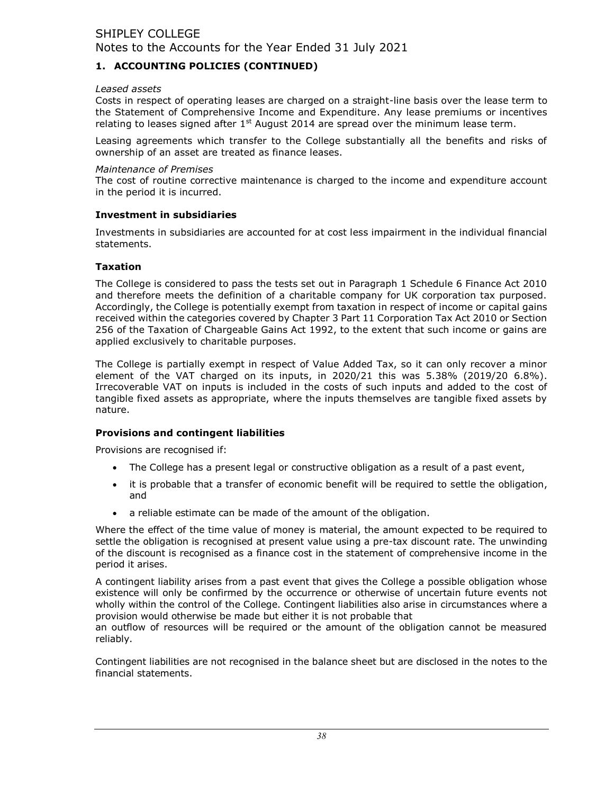# 1. ACCOUNTING POLICIES (CONTINUED)

#### Leased assets

Costs in respect of operating leases are charged on a straight-line basis over the lease term to the Statement of Comprehensive Income and Expenditure. Any lease premiums or incentives relating to leases signed after  $1<sup>st</sup>$  August 2014 are spread over the minimum lease term.

Leasing agreements which transfer to the College substantially all the benefits and risks of ownership of an asset are treated as finance leases.

#### Maintenance of Premises

The cost of routine corrective maintenance is charged to the income and expenditure account in the period it is incurred.

#### Investment in subsidiaries

Investments in subsidiaries are accounted for at cost less impairment in the individual financial statements.

#### **Taxation**

The College is considered to pass the tests set out in Paragraph 1 Schedule 6 Finance Act 2010 and therefore meets the definition of a charitable company for UK corporation tax purposed. Accordingly, the College is potentially exempt from taxation in respect of income or capital gains received within the categories covered by Chapter 3 Part 11 Corporation Tax Act 2010 or Section 256 of the Taxation of Chargeable Gains Act 1992, to the extent that such income or gains are applied exclusively to charitable purposes.

The College is partially exempt in respect of Value Added Tax, so it can only recover a minor element of the VAT charged on its inputs, in 2020/21 this was 5.38% (2019/20 6.8%). Irrecoverable VAT on inputs is included in the costs of such inputs and added to the cost of tangible fixed assets as appropriate, where the inputs themselves are tangible fixed assets by nature.

## Provisions and contingent liabilities

Provisions are recognised if:

- The College has a present legal or constructive obligation as a result of a past event,
- it is probable that a transfer of economic benefit will be required to settle the obligation,  $\bullet$ and
- a reliable estimate can be made of the amount of the obligation.  $\bullet$

Where the effect of the time value of money is material, the amount expected to be required to settle the obligation is recognised at present value using a pre-tax discount rate. The unwinding of the discount is recognised as a finance cost in the statement of comprehensive income in the period it arises.

A contingent liability arises from a past event that gives the College a possible obligation whose existence will only be confirmed by the occurrence or otherwise of uncertain future events not wholly within the control of the College. Contingent liabilities also arise in circumstances where a provision would otherwise be made but either it is not probable that

an outflow of resources will be required or the amount of the obligation cannot be measured reliably.

Contingent liabilities are not recognised in the balance sheet but are disclosed in the notes to the financial statements.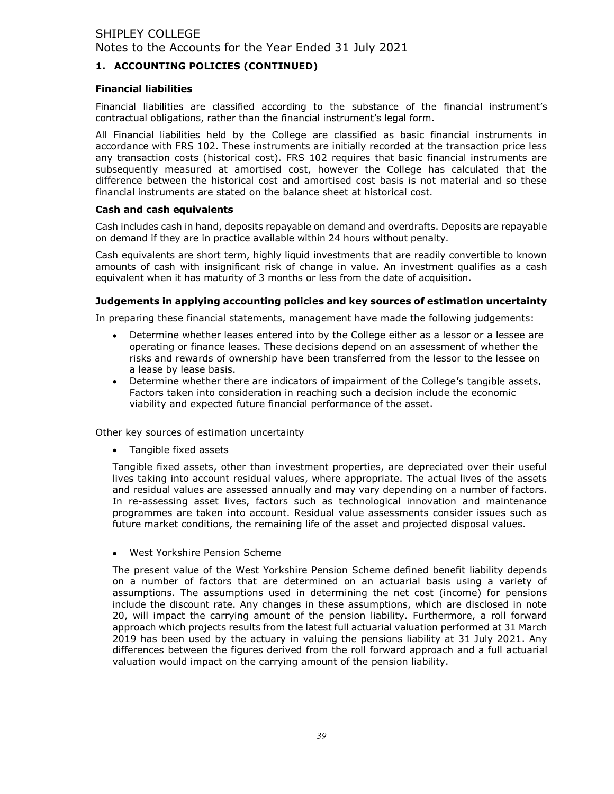# 1. ACCOUNTING POLICIES (CONTINUED)

## Financial liabilities

Financial liabilities are classified according to the substance of the financial instrument's contractual obligations, rather than the financial instrument's legal form.

All Financial liabilities held by the College are classified as basic financial instruments in accordance with FRS 102. These instruments are initially recorded at the transaction price less any transaction costs (historical cost). FRS 102 requires that basic financial instruments are subsequently measured at amortised cost, however the College has calculated that the difference between the historical cost and amortised cost basis is not material and so these financial instruments are stated on the balance sheet at historical cost.

## Cash and cash equivalents

Cash includes cash in hand, deposits repayable on demand and overdrafts. Deposits are repayable on demand if they are in practice available within 24 hours without penalty.

Cash equivalents are short term, highly liquid investments that are readily convertible to known amounts of cash with insignificant risk of change in value. An investment qualifies as a cash equivalent when it has maturity of 3 months or less from the date of acquisition.

## Judgements in applying accounting policies and key sources of estimation uncertainty

In preparing these financial statements, management have made the following judgements:

- $\bullet$ Determine whether leases entered into by the College either as a lessor or a lessee are operating or finance leases. These decisions depend on an assessment of whether the risks and rewards of ownership have been transferred from the lessor to the lessee on a lease by lease basis.
- Determine whether there are indicators of impairment of the College's tangible assets. Factors taken into consideration in reaching such a decision include the economic viability and expected future financial performance of the asset.

Other key sources of estimation uncertainty

• Tangible fixed assets

Tangible fixed assets, other than investment properties, are depreciated over their useful lives taking into account residual values, where appropriate. The actual lives of the assets and residual values are assessed annually and may vary depending on a number of factors. In re-assessing asset lives, factors such as technological innovation and maintenance programmes are taken into account. Residual value assessments consider issues such as future market conditions, the remaining life of the asset and projected disposal values.

West Yorkshire Pension Scheme

The present value of the West Yorkshire Pension Scheme defined benefit liability depends on a number of factors that are determined on an actuarial basis using a variety of assumptions. The assumptions used in determining the net cost (income) for pensions include the discount rate. Any changes in these assumptions, which are disclosed in note 20, will impact the carrying amount of the pension liability. Furthermore, a roll forward approach which projects results from the latest full actuarial valuation performed at 31 March 2019 has been used by the actuary in valuing the pensions liability at 31 July 2021. Any differences between the figures derived from the roll forward approach and a full actuarial valuation would impact on the carrying amount of the pension liability.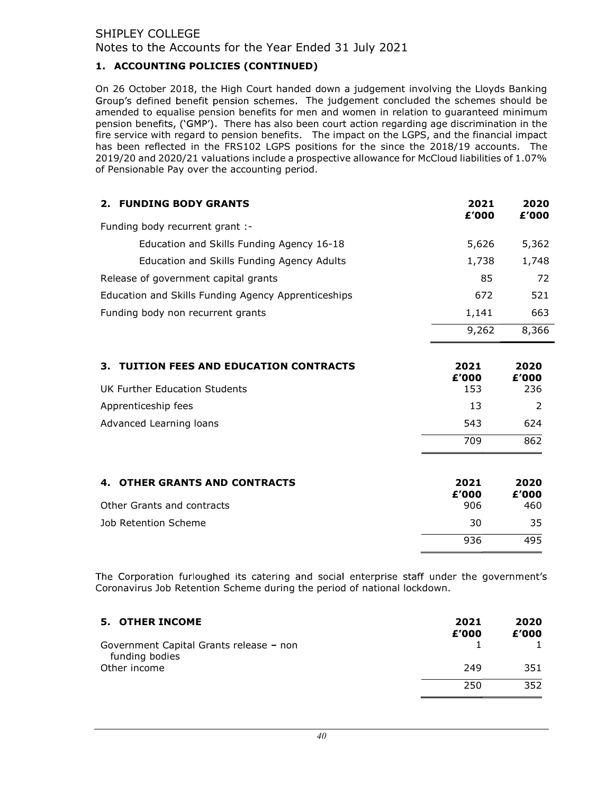# 1. ACCOUNTING POLICIES (CONTINUED)

On 26 October 2018, the High Court handed down a judgement involving the Lloyds Banking Group's defined benefit pension schemes. The judgement concluded the schemes should be amended to equalise pension benefits for men and women in relation to guaranteed minimum pension benefits, ('GMP'). There has also been court action regarding age discrimination in the fire service with regard to pension benefits. The impact on the LGPS, and the financial impact has been reflected in the FRS102 LGPS positions for the since the 2018/19 accounts. The 2019/20 and 2020/21 valuations include a prospective allowance for McCloud liabilities of 1.07% of Pensionable Pay over the accounting period.

| <b>FUNDING BODY GRANTS</b><br>2.                    | 2021<br>£'000 | 2020<br>£'000 |
|-----------------------------------------------------|---------------|---------------|
| Funding body recurrent grant :-                     |               |               |
| Education and Skills Funding Agency 16-18           | 5,626         | 5,362         |
| Education and Skills Funding Agency Adults          | 1,738         | 1,748         |
| Release of government capital grants                | 85            | 72            |
| Education and Skills Funding Agency Apprenticeships | 672           | 521           |
| Funding body non recurrent grants                   | 1,141         | 663           |
|                                                     | 9,262         | 8,366         |

| 3. TUITION FEES AND EDUCATION CONTRACTS | 2021<br>£'000 | 2020<br>£'000 |
|-----------------------------------------|---------------|---------------|
| UK Further Education Students           | 153           | 236           |
| Apprenticeship fees                     | 13            |               |
| Advanced Learning loans                 | 543           | 624           |
|                                         | 709           | 862           |

| 4. OTHER GRANTS AND CONTRACTS | 2021<br>£'000 | 2020<br>£'000 |
|-------------------------------|---------------|---------------|
| Other Grants and contracts    | 906           | 460           |
| Job Retention Scheme          | 30            | 35.           |
|                               | 936           | 495           |

The Corporation furloughed its catering and social enterprise staff under the government's Coronavirus Job Retention Scheme during the period of national lockdown.

| <b>5. OTHER INCOME</b>                                    | 2021<br>£'000 | 2020<br>£'000 |
|-----------------------------------------------------------|---------------|---------------|
| Government Capital Grants release – non<br>funding bodies |               |               |
| Other income                                              | 249           | 351           |
|                                                           | 250           | 352           |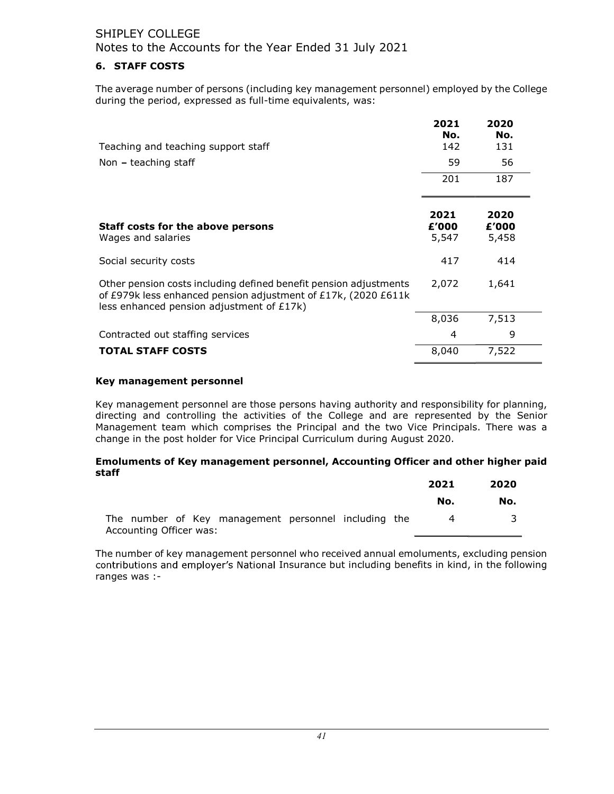# 6. STAFF COSTS

The average number of persons (including key management personnel) employed by the College during the period, expressed as full-time equivalents, was:

| Teaching and teaching support staff                                                                                                                                              | 2021<br>No.<br>142     | 2020<br>No.<br>131     |  |
|----------------------------------------------------------------------------------------------------------------------------------------------------------------------------------|------------------------|------------------------|--|
| Non $-$ teaching staff                                                                                                                                                           | 59                     | 56                     |  |
|                                                                                                                                                                                  | 201                    | 187                    |  |
| Staff costs for the above persons<br>Wages and salaries                                                                                                                          | 2021<br>£'000<br>5,547 | 2020<br>£'000<br>5,458 |  |
| Social security costs                                                                                                                                                            | 417                    | 414                    |  |
| Other pension costs including defined benefit pension adjustments<br>of £979k less enhanced pension adjustment of £17k, (2020 £611k<br>less enhanced pension adjustment of £17k) | 2,072                  | 1,641                  |  |
|                                                                                                                                                                                  | 8,036                  | 7,513                  |  |
| Contracted out staffing services                                                                                                                                                 | 4                      | 9                      |  |
| <b>TOTAL STAFF COSTS</b>                                                                                                                                                         | 8,040                  | 7,522                  |  |

#### Key management personnel

Key management personnel are those persons having authority and responsibility for planning, directing and controlling the activities of the College and are represented by the Senior Management team which comprises the Principal and the two Vice Principals. There was a change in the post holder for Vice Principal Curriculum during August 2020.

#### Emoluments of Key management personnel, Accounting Officer and other higher paid staff

|                         |  |                                                      |  | 2021 | 2020 |
|-------------------------|--|------------------------------------------------------|--|------|------|
|                         |  |                                                      |  | No.  | No.  |
|                         |  | The number of Key management personnel including the |  | Δ    |      |
| Accounting Officer was: |  |                                                      |  |      |      |

The number of key management personnel who received annual emoluments, excluding pension contributions and employer's National Insurance but including benefits in kind, in the following ranges was :-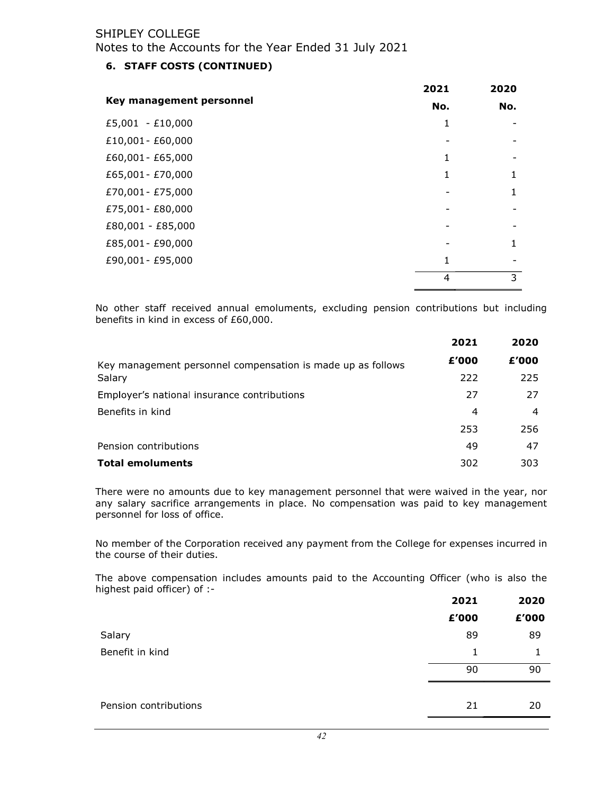# 6. STAFF COSTS (CONTINUED)

|                          | 2021 | 2020 |
|--------------------------|------|------|
| Key management personnel | No.  | No.  |
| £5,001 - £10,000         | 1    |      |
| £10,001 - £60,000        |      |      |
| £60,001 - £65,000        | 1    |      |
| £65,001 - £70,000        | 1    |      |
| £70,001 - £75,000        |      |      |
| £75,001 - £80,000        |      |      |
| £80,001 - £85,000        |      |      |
| £85,001 - £90,000        |      |      |
| £90,001 - £95,000        | 1    |      |
|                          | 4    | 3    |

No other staff received annual emoluments, excluding pension contributions but including benefits in kind in excess of £60,000.

|                                                             | 2021  | 2020  |
|-------------------------------------------------------------|-------|-------|
| Key management personnel compensation is made up as follows | £'000 | £'000 |
| Salary                                                      | 222   | 225   |
| Employer's national insurance contributions                 | 27    | 27    |
| Benefits in kind                                            | 4     | 4     |
|                                                             | 253   | 256   |
| Pension contributions                                       | 49    | 47    |
| <b>Total emoluments</b>                                     | 302   | 303   |

There were no amounts due to key management personnel that were waived in the year, nor any salary sacrifice arrangements in place. No compensation was paid to key management personnel for loss of office.

No member of the Corporation received any payment from the College for expenses incurred in the course of their duties.

The above compensation includes amounts paid to the Accounting Officer (who is also the highest paid officer) of :-

|                       | 2021  | 2020  |
|-----------------------|-------|-------|
|                       | £'000 | £'000 |
| Salary                | 89    | 89    |
| Benefit in kind       | 1     |       |
|                       | 90    | 90    |
|                       |       |       |
| Pension contributions | 21    | 20    |
|                       |       |       |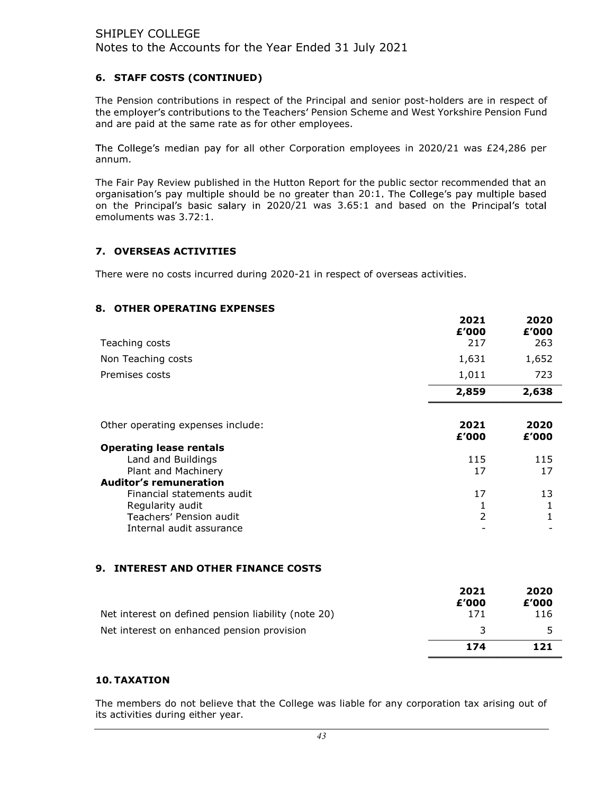# 6. STAFF COSTS (CONTINUED)

The Pension contributions in respect of the Principal and senior post-holders are in respect of the employer's contributions to the Teachers' Pension Scheme and West Yorkshire Pension Fund and are paid at the same rate as for other employees.

The College's median pay for all other Corporation employees in 2020/21 was  $£24,286$  per annum.

The Fair Pay Review published in the Hutton Report for the public sector recommended that an organisation's pay multiple should be no greater than 20:1. The College's pay multiple based on the Principal's basic salary in 2020/21 was 3.65:1 and based on the Principal's total emoluments was 3.72:1.

# 7. OVERSEAS ACTIVITIES

There were no costs incurred during 2020-21 in respect of overseas activities.

## 8. OTHER OPERATING EXPENSES

| Teaching costs                                                                                                                                                 | 2021<br>£'000<br>217 | 2020<br>£'000<br>263 |
|----------------------------------------------------------------------------------------------------------------------------------------------------------------|----------------------|----------------------|
| Non Teaching costs                                                                                                                                             | 1,631                | 1,652                |
| Premises costs                                                                                                                                                 | 1,011                | 723                  |
|                                                                                                                                                                | 2,859                | 2,638                |
| Other operating expenses include:                                                                                                                              | 2021<br>£'000        | 2020<br>£'000        |
| <b>Operating lease rentals</b><br>Land and Buildings<br>Plant and Machinery<br><b>Auditor's remuneration</b><br>Financial statements audit<br>Regularity audit | 115<br>17<br>17<br>1 | 115<br>17<br>13<br>1 |
| Teachers' Pension audit<br>Internal audit assurance                                                                                                            | 2                    | 1                    |

## 9. INTEREST AND OTHER FINANCE COSTS

| Net interest on defined pension liability (note 20) | 2021<br>£'000<br>171 | 2020<br>£'000<br>116 |
|-----------------------------------------------------|----------------------|----------------------|
| Net interest on enhanced pension provision          | -2                   |                      |
|                                                     | 174                  | 121                  |

## 10. TAXATION

The members do not believe that the College was liable for any corporation tax arising out of its activities during either year.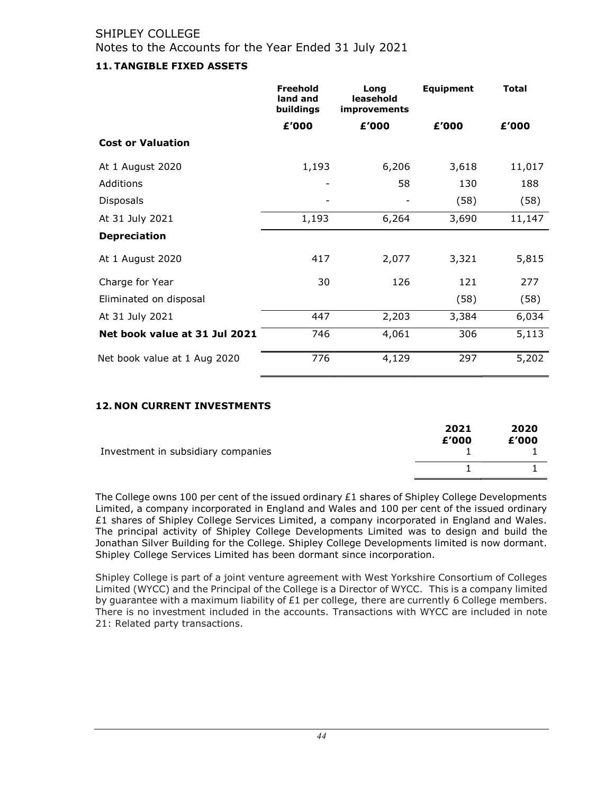# 11. TANGIBLE FIXED ASSETS

|                               | <b>Freehold</b><br>land and<br>buildings | Long<br>leasehold<br><i>improvements</i> | <b>Equipment</b> | <b>Total</b> |
|-------------------------------|------------------------------------------|------------------------------------------|------------------|--------------|
|                               | £'000                                    | £'000                                    | £'000            | £'000        |
| <b>Cost or Valuation</b>      |                                          |                                          |                  |              |
| At 1 August 2020              | 1,193                                    | 6,206                                    | 3,618            | 11,017       |
| Additions                     |                                          | 58                                       | 130              | 188          |
| <b>Disposals</b>              |                                          |                                          | (58)             | (58)         |
| At 31 July 2021               | 1,193                                    | 6,264                                    | 3,690            | 11,147       |
| <b>Depreciation</b>           |                                          |                                          |                  |              |
| At 1 August 2020              | 417                                      | 2,077                                    | 3,321            | 5,815        |
| Charge for Year               | 30                                       | 126                                      | 121              | 277          |
| Eliminated on disposal        |                                          |                                          | (58)             | (58)         |
| At 31 July 2021               | 447                                      | 2,203                                    | 3,384            | 6,034        |
| Net book value at 31 Jul 2021 | 746                                      | 4,061                                    | 306              | 5,113        |
| Net book value at 1 Aug 2020  | 776                                      | 4,129                                    | 297              | 5,202        |

## 12. NON CURRENT INVESTMENTS

|                                    | 2021<br>£'000 | 2020<br>£'000 |
|------------------------------------|---------------|---------------|
| Investment in subsidiary companies |               |               |
|                                    |               |               |

The College owns 100 per cent of the issued ordinary  $£1$  shares of Shipley College Developments Limited, a company incorporated in England and Wales and 100 per cent of the issued ordinary £1 shares of Shipley College Services Limited, a company incorporated in England and Wales. The principal activity of Shipley College Developments Limited was to design and build the Jonathan Silver Building for the College. Shipley College Developments limited is now dormant. Shipley College Services Limited has been dormant since incorporation.

Shipley College is part of a joint venture agreement with West Yorkshire Consortium of Colleges Limited (WYCC) and the Principal of the College is a Director of WYCC. This is a company limited by guarantee with a maximum liability of  $E1$  per college, there are currently 6 College members. There is no investment included in the accounts. Transactions with WYCC are included in note 21: Related party transactions.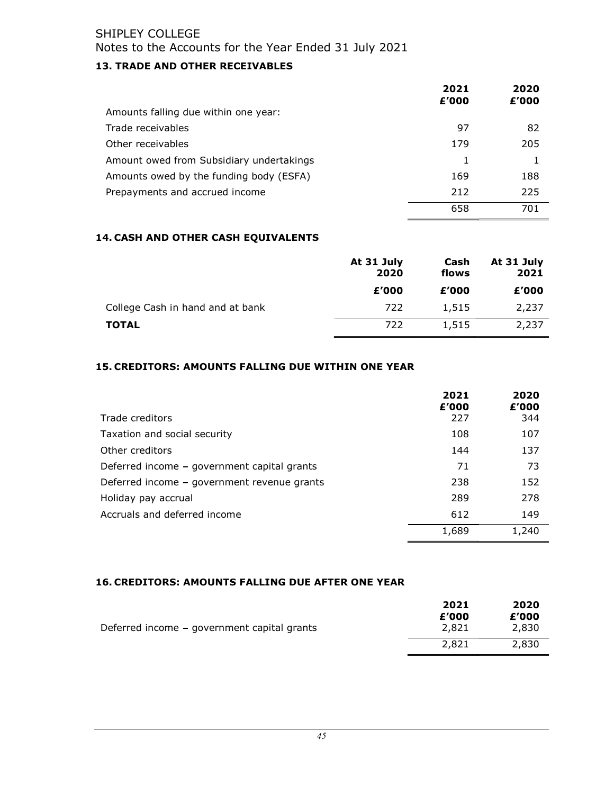# 13. TRADE AND OTHER RECEIVABLES

|                                          | 2021<br>£'000 | 2020<br>£'000 |
|------------------------------------------|---------------|---------------|
| Amounts falling due within one year:     |               |               |
| Trade receivables                        | 97            | 82            |
| Other receivables                        | 179           | 205           |
| Amount owed from Subsidiary undertakings | 1             |               |
| Amounts owed by the funding body (ESFA)  | 169           | 188           |
| Prepayments and accrued income           | 212           | 225           |
|                                          | 658           | 701           |

# 14. CASH AND OTHER CASH EQUIVALENTS

|                                  | At 31 July<br>2020 | Cash<br>flows | At 31 July<br>2021 |
|----------------------------------|--------------------|---------------|--------------------|
|                                  | £'000              | £'000         | £'000              |
| College Cash in hand and at bank | 722                | 1,515         | 2,237              |
| <b>TOTAL</b>                     | 722                | 1,515         | 2,237              |

# 15. CREDITORS: AMOUNTS FALLING DUE WITHIN ONE YEAR

|                                             | 2021<br>£'000 | 2020<br>£'000 |
|---------------------------------------------|---------------|---------------|
| Trade creditors                             | 227           | 344           |
| Taxation and social security                | 108           | 107           |
| Other creditors                             | 144           | 137           |
| Deferred income - government capital grants | 71            | 73            |
| Deferred income – government revenue grants | 238           | 152           |
| Holiday pay accrual                         | 289           | 278           |
| Accruals and deferred income                | 612           | 149           |
|                                             | 1,689         | 1,240         |

# 16. CREDITORS: AMOUNTS FALLING DUE AFTER ONE YEAR

|                                             | 2021           | 2020           |
|---------------------------------------------|----------------|----------------|
| Deferred income – government capital grants | £'000<br>2,821 | £'000<br>2,830 |
|                                             | 2,821          | 2,830          |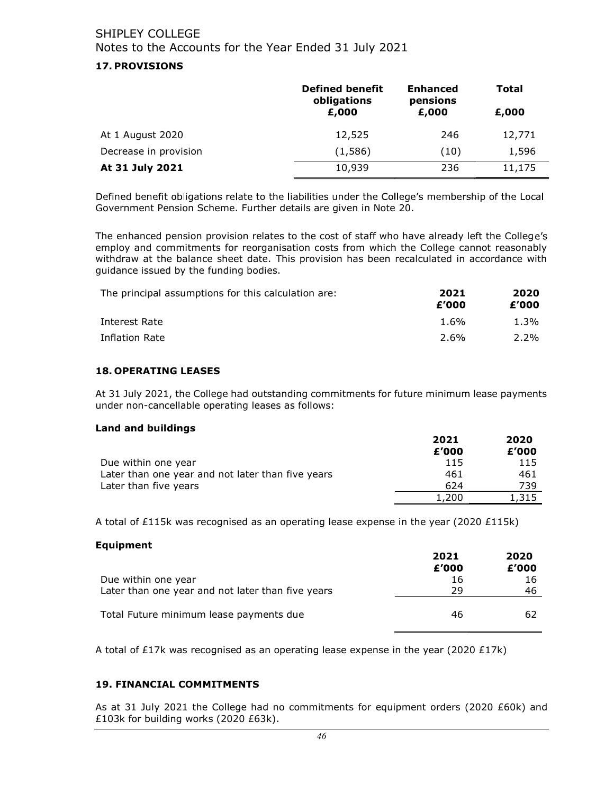## 17. PROVISIONS

|                       | <b>Defined benefit</b><br>obligations | <b>Enhanced</b><br>pensions | Total  |
|-----------------------|---------------------------------------|-----------------------------|--------|
|                       | £,000                                 | £,000                       | £,000  |
| At 1 August 2020      | 12,525                                | 246                         | 12,771 |
| Decrease in provision | (1,586)                               | (10)                        | 1,596  |
| At 31 July 2021       | 10,939                                | 236                         | 11,175 |

Defined benefit obligations relate to the liabilities under the College's membership of the Local Government Pension Scheme. Further details are given in Note 20.

The enhanced pension provision relates to the cost of staff who have already left the College's employ and commitments for reorganisation costs from which the College cannot reasonably withdraw at the balance sheet date. This provision has been recalculated in accordance with guidance issued by the funding bodies.

| The principal assumptions for this calculation are: | 2021<br>£'000 | 2020<br>£'000 |
|-----------------------------------------------------|---------------|---------------|
| Interest Rate                                       | $1.6\%$       | $1.3\%$       |
| Inflation Rate                                      | 2.6%          | $2.2\%$       |

#### 18. OPERATING LEASES

At 31 July 2021, the College had outstanding commitments for future minimum lease payments under non-cancellable operating leases as follows:

#### Land and buildings

|                                                   | 2021  | 2020  |
|---------------------------------------------------|-------|-------|
|                                                   | £'000 | £'000 |
| Due within one year                               | 115   | 115   |
| Later than one year and not later than five years | 461   | 461   |
| Later than five years                             | 624   | 739   |
|                                                   | 1,200 | 1,315 |

A total of £115k was recognised as an operating lease expense in the year (2020 £115k)

#### Equipment

|                                                                          | 2021<br>£'000 | 2020<br>£'000 |
|--------------------------------------------------------------------------|---------------|---------------|
| Due within one year<br>Later than one year and not later than five years | 16<br>29      | 16<br>46      |
| Total Future minimum lease payments due                                  | 46            | 62            |

A total of £17k was recognised as an operating lease expense in the year (2020 £17k)

## 19. FINANCIAL COMMITMENTS

As at 31 July 2021 the College had no commitments for equipment orders (2020 £60k) and £103k for building works (2020 £63k).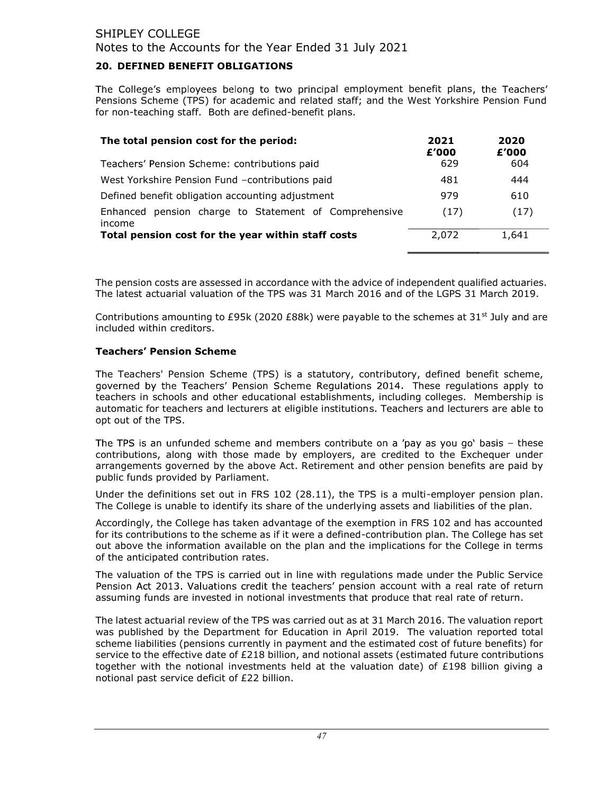## 20. DEFINED BENEFIT OBLIGATIONS

The College's employees belong to two principal employment benefit plans, the Teachers' Pensions Scheme (TPS) for academic and related staff; and the West Yorkshire Pension Fund for non-teaching staff. Both are defined-benefit plans.

| The total pension cost for the period:                             | 2021<br>£'000 | 2020<br>£'000 |
|--------------------------------------------------------------------|---------------|---------------|
| Teachers' Pension Scheme: contributions paid                       | 629           | 604           |
| West Yorkshire Pension Fund -contributions paid                    | 481           | 444           |
| Defined benefit obligation accounting adjustment                   | 979           | 610           |
| pension charge to Statement of Comprehensive<br>Enhanced<br>income | (17)          | (17)          |
| Total pension cost for the year within staff costs                 | 2,072         | 1,641         |

The pension costs are assessed in accordance with the advice of independent qualified actuaries. The latest actuarial valuation of the TPS was 31 March 2016 and of the LGPS 31 March 2019.

Contributions amounting to £95k (2020 £88k) were payable to the schemes at 31<sup>st</sup> July and are included within creditors.

#### **Teachers' Pension Scheme**

The Teachers' Pension Scheme (TPS) is a statutory, contributory, defined benefit scheme, governed by the Teachers' Pension Scheme Regulations 2014. These regulations apply to teachers in schools and other educational establishments, including colleges. Membership is automatic for teachers and lecturers at eligible institutions. Teachers and lecturers are able to opt out of the TPS.

The TPS is an unfunded scheme and members contribute on a 'pay as you go' basis - these contributions, along with those made by employers, are credited to the Exchequer under arrangements governed by the above Act. Retirement and other pension benefits are paid by public funds provided by Parliament.

Under the definitions set out in FRS 102 (28.11), the TPS is a multi-employer pension plan. The College is unable to identify its share of the underlying assets and liabilities of the plan.

Accordingly, the College has taken advantage of the exemption in FRS 102 and has accounted for its contributions to the scheme as if it were a defined-contribution plan. The College has set out above the information available on the plan and the implications for the College in terms of the anticipated contribution rates.

The valuation of the TPS is carried out in line with regulations made under the Public Service Pension Act 2013. Valuations credit the teachers' pension account with a real rate of return assuming funds are invested in notional investments that produce that real rate of return.

The latest actuarial review of the TPS was carried out as at 31 March 2016. The valuation report was published by the Department for Education in April 2019. The valuation reported total scheme liabilities (pensions currently in payment and the estimated cost of future benefits) for service to the effective date of £218 billion, and notional assets (estimated future contributions together with the notional investments held at the valuation date) of  $£198$  billion giving a notional past service deficit of £22 billion.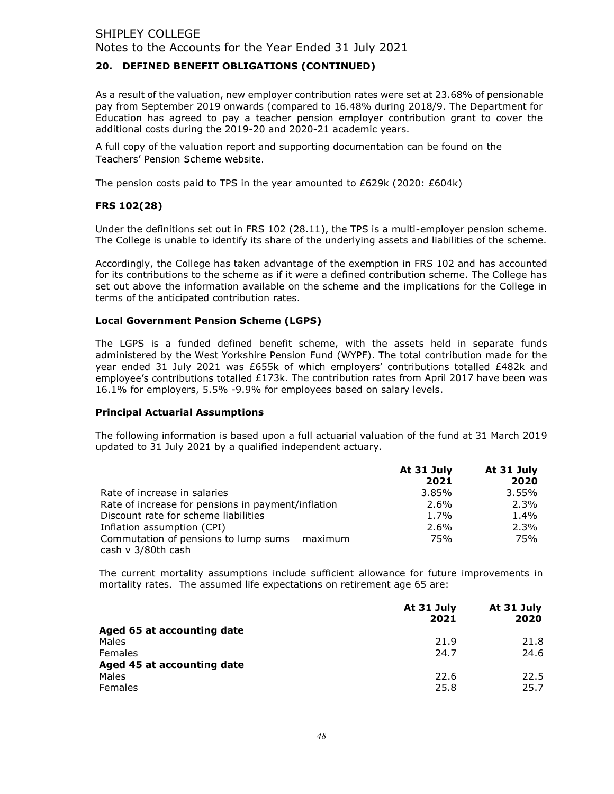## 20. DEFINED BENEFIT OBLIGATIONS (CONTINUED)

As a result of the valuation, new employer contribution rates were set at 23.68% of pensionable pay from September 2019 onwards (compared to 16.48% during 2018/9. The Department for Education has agreed to pay a teacher pension employer contribution grant to cover the additional costs during the 2019-20 and 2020-21 academic years.

A full copy of the valuation report and supporting documentation can be found on the Teachers' Pension Scheme website.

The pension costs paid to TPS in the year amounted to £629k (2020: £604k)

## FRS 102(28)

Under the definitions set out in FRS 102 (28.11), the TPS is a multi-employer pension scheme. The College is unable to identify its share of the underlying assets and liabilities of the scheme.

Accordingly, the College has taken advantage of the exemption in FRS 102 and has accounted for its contributions to the scheme as if it were a defined contribution scheme. The College has set out above the information available on the scheme and the implications for the College in terms of the anticipated contribution rates.

#### Local Government Pension Scheme (LGPS)

The LGPS is a funded defined benefit scheme, with the assets held in separate funds administered by the West Yorkshire Pension Fund (WYPF). The total contribution made for the year ended 31 July 2021 was £655k of which employers' contributions totalled  $£482k$  and employee's contributions totalled £173k. The contribution rates from April 2017 have been was 16.1% for employers, 5.5% -9.9% for employees based on salary levels.

#### Principal Actuarial Assumptions

The following information is based upon a full actuarial valuation of the fund at 31 March 2019 updated to 31 July 2021 by a qualified independent actuary.

|                                                    | At 31 July | At 31 July |
|----------------------------------------------------|------------|------------|
|                                                    | 2021       | 2020       |
| Rate of increase in salaries                       | 3.85%      | 3.55%      |
| Rate of increase for pensions in payment/inflation | 2.6%       | 2.3%       |
| Discount rate for scheme liabilities               | 1.7%       | $1.4\%$    |
| Inflation assumption (CPI)                         | 2.6%       | 2.3%       |
| Commutation of pensions to lump sums - maximum     | 75%        | 75%        |
| cash v 3/80th cash                                 |            |            |

The current mortality assumptions include sufficient allowance for future improvements in mortality rates. The assumed life expectations on retirement age 65 are:

|                            | At 31 July<br>2021 | At 31 July<br>2020 |
|----------------------------|--------------------|--------------------|
| Aged 65 at accounting date |                    |                    |
| Males                      | 21.9               | 21.8               |
| Females                    | 24.7               | 24.6               |
| Aged 45 at accounting date |                    |                    |
| Males                      | 22.6               | 22.5               |
| Females                    | 25.8               | 25.7               |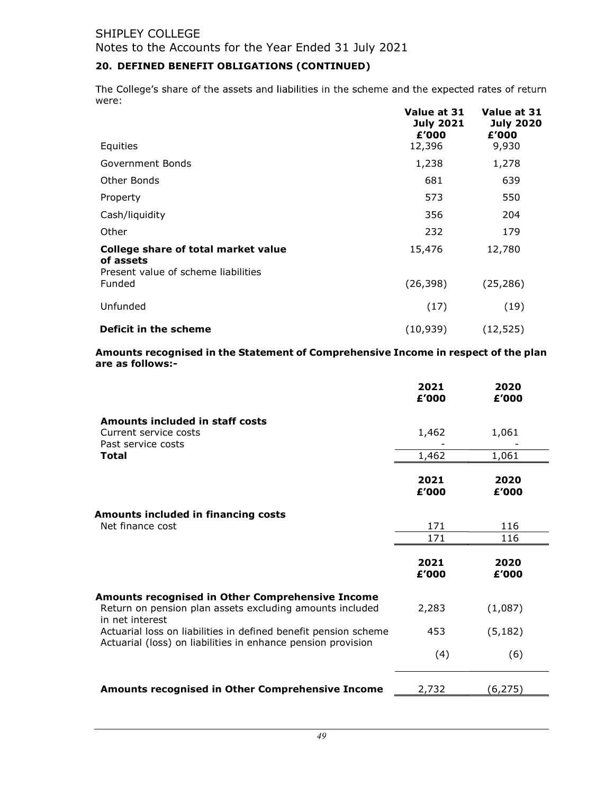# 20. DEFINED BENEFIT OBLIGATIONS (CONTINUED)

The College's share of the assets and liabilities in the scheme and the expected rates of return were:

|                                                                                         | Value at 31<br><b>July 2021</b><br>£'000 | Value at 31<br><b>July 2020</b><br>£'000 |
|-----------------------------------------------------------------------------------------|------------------------------------------|------------------------------------------|
| Equities                                                                                | 12,396                                   | 9,930                                    |
| Government Bonds                                                                        | 1,238                                    | 1,278                                    |
| Other Bonds                                                                             | 681                                      | 639                                      |
| Property                                                                                | 573                                      | 550                                      |
| Cash/liquidity                                                                          | 356                                      | 204                                      |
| Other                                                                                   | 232                                      | 179                                      |
| College share of total market value<br>of assets<br>Present value of scheme liabilities | 15,476                                   | 12,780                                   |
| Funded                                                                                  | (26, 398)                                | (25, 286)                                |
| Unfunded                                                                                | (17)                                     | (19)                                     |
| Deficit in the scheme                                                                   | (10, 939)                                | (12, 525)                                |

Amounts recognised in the Statement of Comprehensive Income in respect of the plan are as follows:-

|                                                                                                                                 | 2021<br>£'000 | 2020<br>£'000 |  |
|---------------------------------------------------------------------------------------------------------------------------------|---------------|---------------|--|
| Amounts included in staff costs                                                                                                 |               |               |  |
| Current service costs<br>Past service costs                                                                                     | 1,462         | 1,061         |  |
| <b>Total</b>                                                                                                                    | 1,462         | 1,061         |  |
|                                                                                                                                 | 2021<br>£'000 | 2020<br>£'000 |  |
| Amounts included in financing costs                                                                                             |               |               |  |
| Net finance cost                                                                                                                | 171           | 116           |  |
|                                                                                                                                 | 171           | 116           |  |
|                                                                                                                                 | 2021<br>£'000 | 2020<br>£'000 |  |
| <b>Amounts recognised in Other Comprehensive Income</b>                                                                         |               |               |  |
| Return on pension plan assets excluding amounts included<br>in net interest                                                     | 2,283         | (1,087)       |  |
| Actuarial loss on liabilities in defined benefit pension scheme<br>Actuarial (loss) on liabilities in enhance pension provision | 453           | (5, 182)      |  |
|                                                                                                                                 | (4)           | (6)           |  |
| Amounts recognised in Other Comprehensive Income                                                                                | 2,732         | (6, 275)      |  |
|                                                                                                                                 |               |               |  |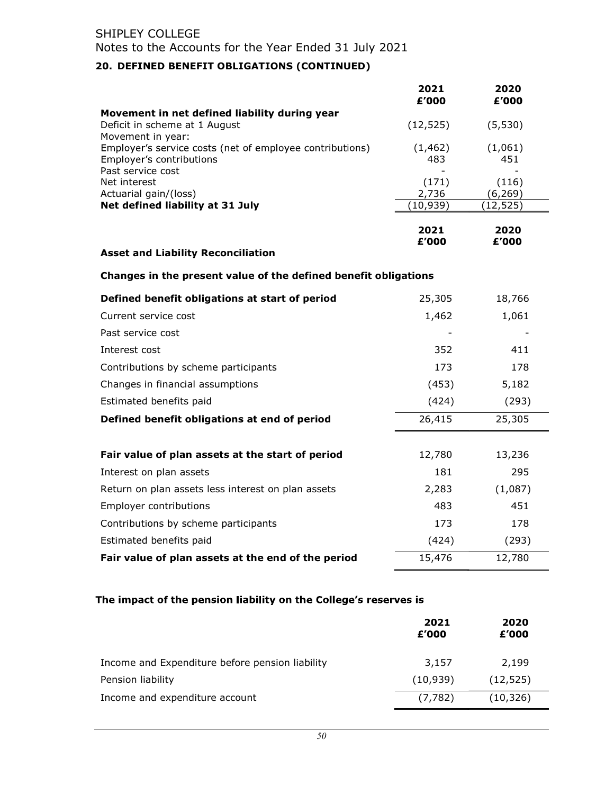# 20. DEFINED BENEFIT OBLIGATIONS (CONTINUED)

|                                                                 | 2021<br>£'000 | 2020<br>£'000 |
|-----------------------------------------------------------------|---------------|---------------|
| Movement in net defined liability during year                   |               |               |
| Deficit in scheme at 1 August<br>Movement in year:              | (12, 525)     | (5, 530)      |
| Employer's service costs (net of employee contributions)        | (1, 462)      | (1,061)       |
| Employer's contributions                                        | 483           | 451           |
| Past service cost<br>Net interest                               | (171)         | (116)         |
| Actuarial gain/(loss)                                           | 2,736         | (6, 269)      |
| Net defined liability at 31 July                                | (10, 939)     | (12, 525)     |
|                                                                 | 2021<br>£'000 | 2020<br>£'000 |
| <b>Asset and Liability Reconciliation</b>                       |               |               |
| Changes in the present value of the defined benefit obligations |               |               |
| Defined benefit obligations at start of period                  | 25,305        | 18,766        |
| Current service cost                                            | 1,462         | 1,061         |
| Past service cost                                               |               |               |
| Interest cost                                                   | 352           | 411           |
| Contributions by scheme participants                            | 173           | 178           |
| Changes in financial assumptions                                | (453)         | 5,182         |
| Estimated benefits paid                                         | (424)         | (293)         |
| Defined benefit obligations at end of period                    | 26,415        | 25,305        |
|                                                                 |               |               |
| Fair value of plan assets at the start of period                | 12,780        | 13,236        |
| Interest on plan assets                                         | 181           | 295           |
| Return on plan assets less interest on plan assets              | 2,283         | (1,087)       |
| Employer contributions                                          | 483           | 451           |
| Contributions by scheme participants                            | 173           | 178           |
| Estimated benefits paid                                         | (424)         | (293)         |
| Fair value of plan assets at the end of the period              | 15,476        | 12,780        |

# The impact of the pension liability on the College's reserves is

|                                                 | 2021<br>£'000 | 2020<br>£'000 |
|-------------------------------------------------|---------------|---------------|
| Income and Expenditure before pension liability | 3,157         | 2,199         |
| Pension liability                               | (10, 939)     | (12, 525)     |
| Income and expenditure account                  | (7, 782)      | (10, 326)     |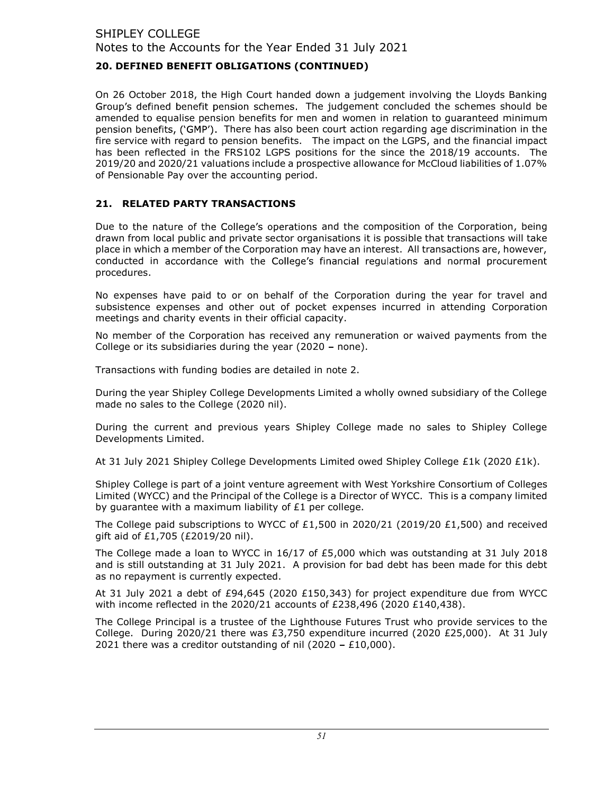# 20. DEFINED BENEFIT OBLIGATIONS (CONTINUED)

On 26 October 2018, the High Court handed down a judgement involving the Lloyds Banking Group's defined benefit pension schemes. The judgement concluded the schemes should be amended to equalise pension benefits for men and women in relation to guaranteed minimum pension benefits, ('GMP'). There has also been court action regarding age discrimination in the fire service with regard to pension benefits. The impact on the LGPS, and the financial impact has been reflected in the FRS102 LGPS positions for the since the 2018/19 accounts. The 2019/20 and 2020/21 valuations include a prospective allowance for McCloud liabilities of 1.07% of Pensionable Pay over the accounting period.

# 21. RELATED PARTY TRANSACTIONS

Due to the nature of the College's operations and the composition of the Corporation, being drawn from local public and private sector organisations it is possible that transactions will take place in which a member of the Corporation may have an interest. All transactions are, however, conducted in accordance with the College's financial regulations and normal procurement procedures.

No expenses have paid to or on behalf of the Corporation during the year for travel and subsistence expenses and other out of pocket expenses incurred in attending Corporation meetings and charity events in their official capacity.

No member of the Corporation has received any remuneration or waived payments from the College or its subsidiaries during the year (2020 - none).

Transactions with funding bodies are detailed in note 2.

During the year Shipley College Developments Limited a wholly owned subsidiary of the College made no sales to the College (2020 nil).

During the current and previous years Shipley College made no sales to Shipley College Developments Limited.

At 31 July 2021 Shipley College Developments Limited owed Shipley College £1k (2020 £1k).

Shipley College is part of a joint venture agreement with West Yorkshire Consortium of Colleges Limited (WYCC) and the Principal of the College is a Director of WYCC. This is a company limited by guarantee with a maximum liability of £1 per college.

The College paid subscriptions to WYCC of £1,500 in 2020/21 (2019/20 £1,500) and received gift aid of £1,705 (£2019/20 nil).

The College made a loan to WYCC in 16/17 of £5,000 which was outstanding at 31 July 2018 and is still outstanding at 31 July 2021. A provision for bad debt has been made for this debt as no repayment is currently expected.

At 31 July 2021 a debt of £94,645 (2020 £150,343) for project expenditure due from WYCC with income reflected in the 2020/21 accounts of £238,496 (2020 £140,438).

The College Principal is a trustee of the Lighthouse Futures Trust who provide services to the College. During 2020/21 there was £3,750 expenditure incurred (2020 £25,000). At 31 July 2021 there was a creditor outstanding of nil (2020 - £10,000).